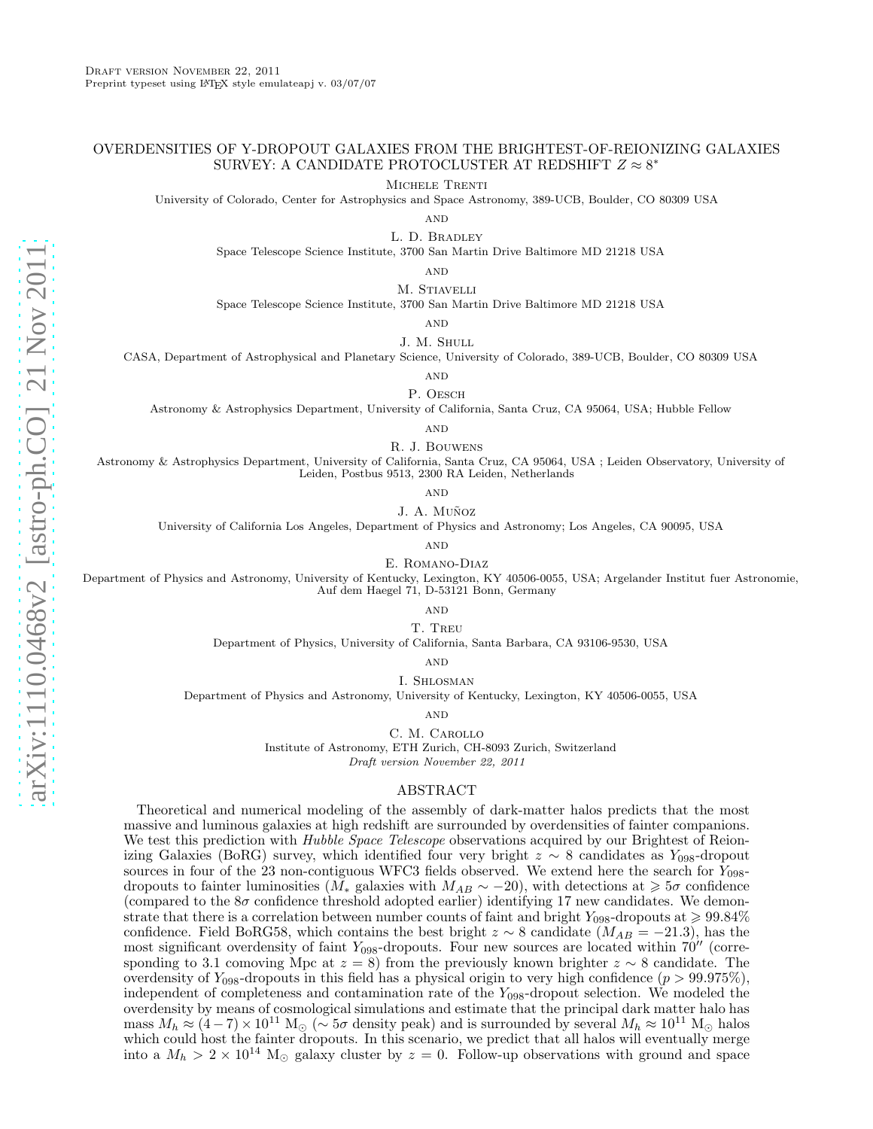## OVERDENSITIES OF Y-DROPOUT GALAXIES FROM THE BRIGHTEST-OF-REIONIZING GALAXIES SURVEY: A CANDIDATE PROTOCLUSTER AT REDSHIFT  $Z\approx8^*$

Michele Trenti

University of Colorado, Center for Astrophysics and Space Astronomy, 389-UCB, Boulder, CO 80309 USA

 $AND$ 

L. D. Bradley

Space Telescope Science Institute, 3700 San Martin Drive Baltimore MD 21218 USA

**AND** 

M. STIAVELLI

Space Telescope Science Institute, 3700 San Martin Drive Baltimore MD 21218 USA

**AND** 

J. M. Shull

CASA, Department of Astrophysical and Planetary Science, University of Colorado, 389-UCB, Boulder, CO 80309 USA

**AND** 

P. OESCH

Astronomy & Astrophysics Department, University of California, Santa Cruz, CA 95064, USA; Hubble Fellow

**AND** 

R. J. Bouwens

Astronomy & Astrophysics Department, University of California, Santa Cruz, CA 95064, USA ; Leiden Observatory, University of Leiden, Postbus 9513, 2300 RA Leiden, Netherlands

**AND** 

J. A. Muñoz

University of California Los Angeles, Department of Physics and Astronomy; Los Angeles, CA 90095, USA

 $\mathbf{AND}$ 

E. Romano-Diaz

Department of Physics and Astronomy, University of Kentucky, Lexington, KY 40506-0055, USA; Argelander Institut fuer Astronomie, Auf dem Haegel 71, D-53121 Bonn, Germany

> **AND** T. Treu

Department of Physics, University of California, Santa Barbara, CA 93106-9530, USA

**AND** 

I. Shlosman

Department of Physics and Astronomy, University of Kentucky, Lexington, KY 40506-0055, USA

**AND** 

C. M. Carollo Institute of Astronomy, ETH Zurich, CH-8093 Zurich, Switzerland Draft version November 22, 2011

#### ABSTRACT

Theoretical and numerical modeling of the assembly of dark-matter halos predicts that the most massive and luminous galaxies at high redshift are surrounded by overdensities of fainter companions. We test this prediction with *Hubble Space Telescope* observations acquired by our Brightest of Reionizing Galaxies (BoRG) survey, which identified four very bright  $z \sim 8$  candidates as Y<sub>098</sub>-dropout sources in four of the 23 non-contiguous WFC3 fields observed. We extend here the search for  $Y_{098}$ dropouts to fainter luminosities ( $\tilde{M_*}$  galaxies with  $M_{AB} \sim -20$ ), with detections at  $\geq 5\sigma$  confidence (compared to the  $8\sigma$  confidence threshold adopted earlier) identifying 17 new candidates. We demonstrate that there is a correlation between number counts of faint and bright  $Y_{098}$ -dropouts at  $\geqslant 99.84\%$ confidence. Field BoRG58, which contains the best bright  $z \sim 8$  candidate ( $M_{AB} = -21.3$ ), has the most significant overdensity of faint  $Y_{098}$ -dropouts. Four new sources are located within 70<sup> $\prime\prime$ </sup> (corresponding to 3.1 comoving Mpc at  $z = 8$ ) from the previously known brighter  $z \sim 8$  candidate. The overdensity of  $Y_{098}$ -dropouts in this field has a physical origin to very high confidence ( $p > 99.975\%$ ), independent of completeness and contamination rate of the  $Y_{098}$ -dropout selection. We modeled the overdensity by means of cosmological simulations and estimate that the principal dark matter halo has mass  $M_h \approx (4-7) \times 10^{11}$  M<sub>☉</sub> ( $\sim 5\sigma$  density peak) and is surrounded by several  $M_h \approx 10^{11}$  M<sub>☉</sub> halos which could host the fainter dropouts. In this scenario, we predict that all halos will eventually merge into a  $M_h > 2 \times 10^{14}$  M<sub>☉</sub> galaxy cluster by  $z = 0$ . Follow-up observations with ground and space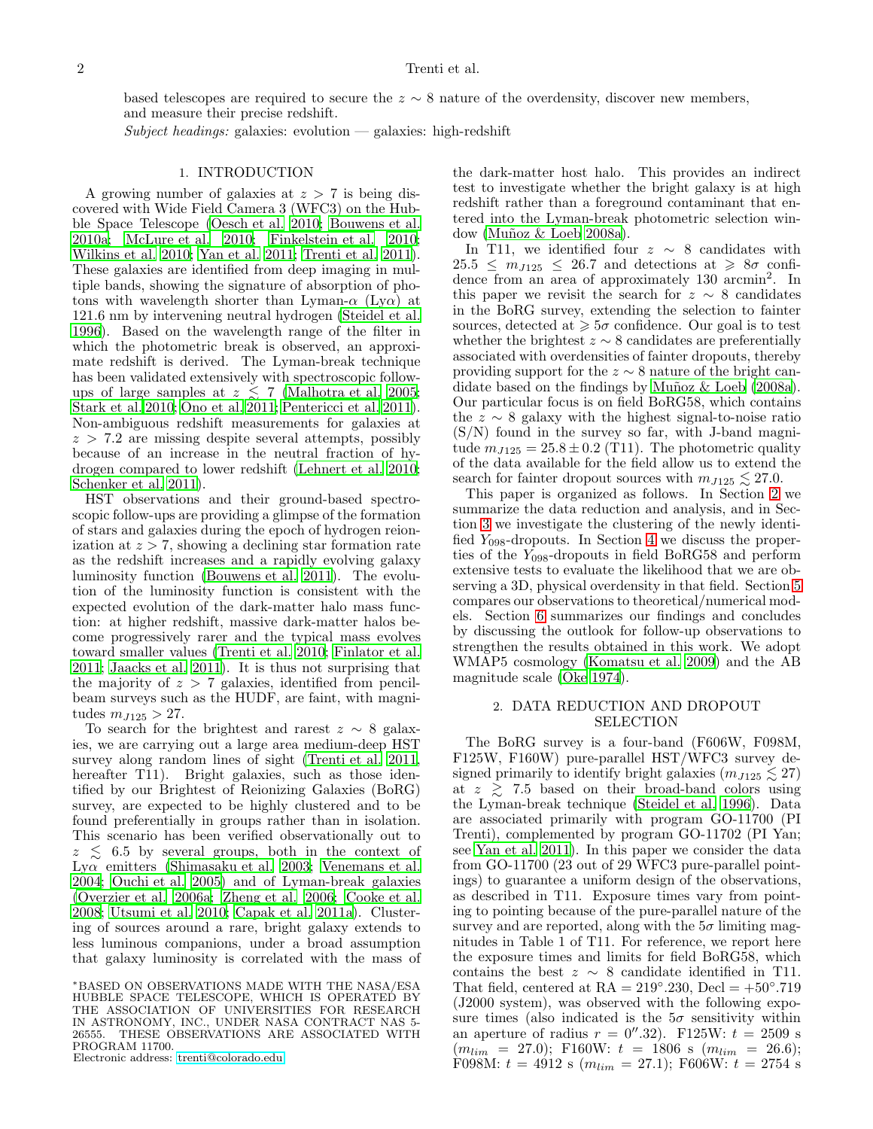based telescopes are required to secure the  $z \sim 8$  nature of the overdensity, discover new members, and measure their precise redshift.

 $Subject \ headings: galaxies: evolution - galaxies: high-redshift$ 

### 1. INTRODUCTION

A growing number of galaxies at  $z > 7$  is being discovered with Wide Field Camera 3 (WFC3) on the Hubble Space Telescope [\(Oesch et al. 2010](#page-9-0); [Bouwens et al.](#page-9-1) [2010a;](#page-9-1) [McLure et al. 2010;](#page-9-2) [Finkelstein et al. 2010;](#page-9-3) [Wilkins et al. 2010](#page-9-4); [Yan et al. 2011](#page-9-5); [Trenti et al. 2011\)](#page-9-6). These galaxies are identified from deep imaging in multiple bands, showing the signature of absorption of photons with wavelength shorter than Lyman- $\alpha$  (Ly $\alpha$ ) at 121.6 nm by intervening neutral hydrogen [\(Steidel et al.](#page-9-7) [1996\)](#page-9-7). Based on the wavelength range of the filter in which the photometric break is observed, an approximate redshift is derived. The Lyman-break technique has been validated extensively with spectroscopic followups of large samples at  $z \leq 7$  [\(Malhotra et al. 2005;](#page-9-8) [Stark et al. 2010;](#page-9-9) [Ono et al. 2011;](#page-9-10) [Pentericci et al. 2011\)](#page-9-11). Non-ambiguous redshift measurements for galaxies at  $z > 7.2$  are missing despite several attempts, possibly because of an increase in the neutral fraction of hydrogen compared to lower redshift [\(Lehnert et al. 2010;](#page-9-12) [Schenker et al. 2011](#page-9-13)).

HST observations and their ground-based spectroscopic follow-ups are providing a glimpse of the formation of stars and galaxies during the epoch of hydrogen reionization at  $z > 7$ , showing a declining star formation rate as the redshift increases and a rapidly evolving galaxy luminosity function [\(Bouwens et al. 2011\)](#page-9-14). The evolution of the luminosity function is consistent with the expected evolution of the dark-matter halo mass function: at higher redshift, massive dark-matter halos become progressively rarer and the typical mass evolves toward smaller values [\(Trenti et al. 2010;](#page-9-15) [Finlator et al.](#page-9-16) [2011;](#page-9-16) [Jaacks et al. 2011\)](#page-9-17). It is thus not surprising that the majority of  $z > 7$  galaxies, identified from pencilbeam surveys such as the HUDF, are faint, with magnitudes  $m_{J125} > 27$ .

To search for the brightest and rarest  $z \sim 8$  galaxies, we are carrying out a large area medium-deep HST survey along random lines of sight [\(Trenti et al. 2011,](#page-9-6) hereafter T11). Bright galaxies, such as those identified by our Brightest of Reionizing Galaxies (BoRG) survey, are expected to be highly clustered and to be found preferentially in groups rather than in isolation. This scenario has been verified observationally out to  $z \leq 6.5$  by several groups, both in the context of Ly $\alpha$  emitters [\(Shimasaku et al. 2003;](#page-9-18) [Venemans et al.](#page-9-19) [2004;](#page-9-19) [Ouchi et al. 2005\)](#page-9-20) and of Lyman-break galaxies [\(Overzier et al. 2006a;](#page-9-21) [Zheng et al. 2006](#page-9-22); [Cooke et al.](#page-9-23) [2008;](#page-9-23) [Utsumi et al. 2010;](#page-9-24) [Capak et al. 2011a\)](#page-9-25). Clustering of sources around a rare, bright galaxy extends to less luminous companions, under a broad assumption that galaxy luminosity is correlated with the mass of

<sup>∗</sup>BASED ON OBSERVATIONS MADE WITH THE NASA/ESA HUBBLE SPACE TELESCOPE, WHICH IS OPERATED BY THE ASSOCIATION OF UNIVERSITIES FOR RESEARCH IN ASTRONOMY, INC., UNDER NASA CONTRACT NAS 5- 26555. THESE OBSERVATIONS ARE ASSOCIATED WITH PROGRAM 11700.

Electronic address: [trenti@colorado.edu](mailto:trenti@colorado.edu)

the dark-matter host halo. This provides an indirect test to investigate whether the bright galaxy is at high redshift rather than a foreground contaminant that entered into the Lyman-break photometric selection window (Muñoz  $&$  Loeb 2008a).

In T11, we identified four  $z \sim 8$  candidates with  $25.5 \leq m_{J125} \leq 26.7$  and detections at  $\geq 8\sigma$  confidence from an area of approximately 130 arcmin<sup>2</sup>. In this paper we revisit the search for  $z \sim 8$  candidates in the BoRG survey, extending the selection to fainter sources, detected at  $\geq 5\sigma$  confidence. Our goal is to test whether the brightest  $z \sim 8$  candidates are preferentially associated with overdensities of fainter dropouts, thereby providing support for the  $z \sim 8$  nature of the bright candidate based on the findings by Muñoz  $\&$  Loeb (2008a). Our particular focus is on field BoRG58, which contains the  $z \sim 8$  galaxy with the highest signal-to-noise ratio (S/N) found in the survey so far, with J-band magnitude  $m_{J125} = 25.8 \pm 0.2$  (T11). The photometric quality of the data available for the field allow us to extend the search for fainter dropout sources with  $m_{J125} \lesssim 27.0$ .

This paper is organized as follows. In Section [2](#page-1-0) we summarize the data reduction and analysis, and in Section [3](#page-3-0) we investigate the clustering of the newly identified  $Y_{098}$ -dropouts. In Section [4](#page-4-0) we discuss the properties of the  $Y_{098}$ -dropouts in field BoRG58 and perform extensive tests to evaluate the likelihood that we are observing a 3D, physical overdensity in that field. Section [5](#page-6-0) compares our observations to theoretical/numerical models. Section [6](#page-7-0) summarizes our findings and concludes by discussing the outlook for follow-up observations to strengthen the results obtained in this work. We adopt WMAP5 cosmology [\(Komatsu et al. 2009\)](#page-9-27) and the AB magnitude scale [\(Oke 1974](#page-9-28)).

# <span id="page-1-0"></span>2. DATA REDUCTION AND DROPOUT SELECTION

The BoRG survey is a four-band (F606W, F098M, F125W, F160W) pure-parallel HST/WFC3 survey designed primarily to identify bright galaxies  $(m_{J125} \lesssim 27)$ at  $z \geq 7.5$  based on their broad-band colors using the Lyman-break technique [\(Steidel et al. 1996\)](#page-9-7). Data are associated primarily with program GO-11700 (PI Trenti), complemented by program GO-11702 (PI Yan; see [Yan et al. 2011\)](#page-9-5). In this paper we consider the data from GO-11700 (23 out of 29 WFC3 pure-parallel pointings) to guarantee a uniform design of the observations, as described in T11. Exposure times vary from pointing to pointing because of the pure-parallel nature of the survey and are reported, along with the  $5\sigma$  limiting magnitudes in Table 1 of T11. For reference, we report here the exposure times and limits for field BoRG58, which contains the best  $z \sim 8$  candidate identified in T11. That field, centered at  $RA = 219°.230$ ,  $Decl = +50°.719$ (J2000 system), was observed with the following exposure times (also indicated is the  $5\sigma$  sensitivity within an aperture of radius  $r = 0''.32$ . F125W:  $t = 2509$  s  $(m_{lim} = 27.0);$  F160W:  $t = 1806$  s  $(m_{lim} = 26.6);$ F098M:  $t = 4912$  s  $(m_{lim} = 27.1)$ ; F606W:  $t = 2754$  s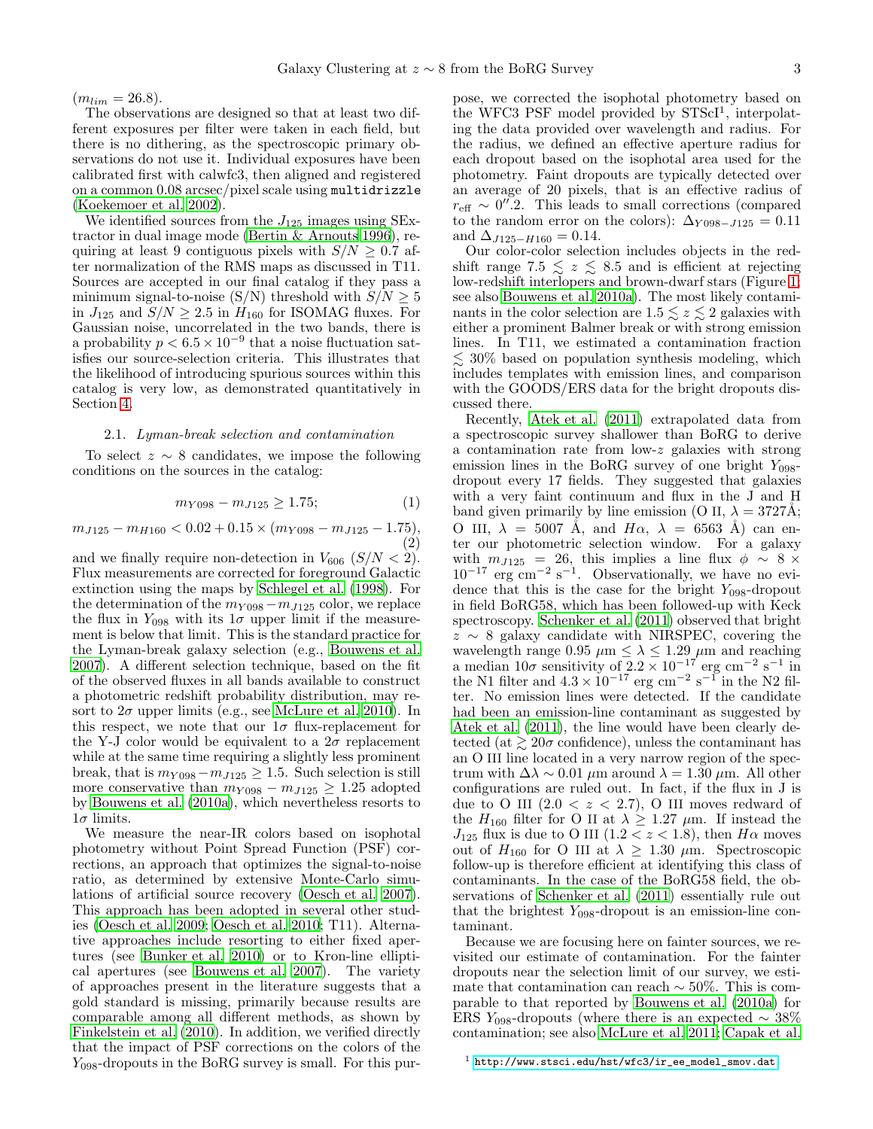$(m_{lim} = 26.8).$ 

The observations are designed so that at least two different exposures per filter were taken in each field, but there is no dithering, as the spectroscopic primary observations do not use it. Individual exposures have been calibrated first with calwfc3, then aligned and registered on a common 0.08 arcsec/pixel scale using multidrizzle [\(Koekemoer et al. 2002](#page-9-29)).

We identified sources from the  $J_{125}$  images using SExtractor in dual image mode [\(Bertin & Arnouts 1996\)](#page-9-30), requiring at least 9 contiguous pixels with  $S/N \geq 0.7$  after normalization of the RMS maps as discussed in T11. Sources are accepted in our final catalog if they pass a minimum signal-to-noise (S/N) threshold with  $S/N \geq 5$ in  $J_{125}$  and  $S/N \geq 2.5$  in  $H_{160}$  for ISOMAG fluxes. For Gaussian noise, uncorrelated in the two bands, there is a probability  $p < 6.5 \times 10^{-9}$  that a noise fluctuation satisfies our source-selection criteria. This illustrates that the likelihood of introducing spurious sources within this catalog is very low, as demonstrated quantitatively in Section [4.](#page-4-0)

#### <span id="page-2-0"></span>2.1. Lyman-break selection and contamination

To select  $z \sim 8$  candidates, we impose the following conditions on the sources in the catalog:

$$
m_{Y098} - m_{J125} \ge 1.75; \tag{1}
$$

 $m_{J125} - m_{H160} < 0.02 + 0.15 \times (m_{Y098} - m_{J125} - 1.75),$ (2)

and we finally require non-detection in  $V_{606}$  ( $S/N < 2$ ). Flux measurements are corrected for foreground Galactic extinction using the maps by [Schlegel et al. \(1998\)](#page-9-31). For the determination of the  $m_{Y098}-m_{J125}$  color, we replace the flux in  $Y_{098}$  with its  $1\sigma$  upper limit if the measurement is below that limit. This is the standard practice for the Lyman-break galaxy selection (e.g., [Bouwens et al.](#page-9-32) [2007\)](#page-9-32). A different selection technique, based on the fit of the observed fluxes in all bands available to construct a photometric redshift probability distribution, may resort to  $2\sigma$  upper limits (e.g., see [McLure et al. 2010\)](#page-9-2). In this respect, we note that our  $1\sigma$  flux-replacement for the Y-J color would be equivalent to a  $2\sigma$  replacement while at the same time requiring a slightly less prominent break, that is  $m_{Y098}-m_{J125} \ge 1.5$ . Such selection is still more conservative than  $m_{Y098} - m_{J125} \geq 1.25$  adopted by [Bouwens et al. \(2010a](#page-9-1)), which nevertheless resorts to  $1\sigma$  limits.

We measure the near-IR colors based on isophotal photometry without Point Spread Function (PSF) corrections, an approach that optimizes the signal-to-noise ratio, as determined by extensive Monte-Carlo simulations of artificial source recovery [\(Oesch et al. 2007\)](#page-9-33). This approach has been adopted in several other studies [\(Oesch et al. 2009;](#page-9-34) [Oesch et al. 2010;](#page-9-0) T11). Alternative approaches include resorting to either fixed apertures (see [Bunker et al. 2010\)](#page-9-35) or to Kron-line elliptical apertures (see [Bouwens et al. 2007\)](#page-9-32). The variety of approaches present in the literature suggests that a gold standard is missing, primarily because results are comparable among all different methods, as shown by [Finkelstein et al. \(2010](#page-9-3)). In addition, we verified directly that the impact of PSF corrections on the colors of the  $Y_{098}$ -dropouts in the BoRG survey is small. For this pur-

pose, we corrected the isophotal photometry based on the WFC3 PSF model provided by STScI<sup>1</sup>, interpolating the data provided over wavelength and radius. For the radius, we defined an effective aperture radius for each dropout based on the isophotal area used for the photometry. Faint dropouts are typically detected over an average of 20 pixels, that is an effective radius of  $r_{\text{eff}} \sim 0''.2$ . This leads to small corrections (compared to the random error on the colors):  $\Delta_{Y098-J125} = 0.11$ and  $\Delta_{J125-H160} = 0.14$ .

Our color-color selection includes objects in the redshift range 7.5  $\leq z \leq 8.5$  and is efficient at rejecting low-redshift interlopers and brown-dwarf stars (Figure [1;](#page-10-0) see also [Bouwens et al. 2010a\)](#page-9-1). The most likely contaminants in the color selection are  $1.5 \leq z \leq 2$  galaxies with either a prominent Balmer break or with strong emission lines. In T11, we estimated a contamination fraction  $\lesssim$  30% based on population synthesis modeling, which includes templates with emission lines, and comparison with the GOODS/ERS data for the bright dropouts discussed there.

Recently, [Atek et al. \(2011\)](#page-9-36) extrapolated data from a spectroscopic survey shallower than BoRG to derive a contamination rate from low-z galaxies with strong emission lines in the BoRG survey of one bright  $Y_{0.98}$ dropout every 17 fields. They suggested that galaxies with a very faint continuum and flux in the J and H band given primarily by line emission (O II,  $\lambda = 3727$ Å; O III,  $\lambda = 5007$  Å, and  $H\alpha$ ,  $\lambda = 6563$  Å) can enter our photometric selection window. For a galaxy with  $m_{J125} = 26$ , this implies a line flux  $\phi \sim 8 \times$  $10^{-17}$  erg cm<sup>-2</sup> s<sup>-1</sup>. Observationally, we have no evidence that this is the case for the bright  $Y_{098}$ -dropout in field BoRG58, which has been followed-up with Keck spectroscopy. [Schenker et al. \(2011\)](#page-9-13) observed that bright  $z \sim 8$  galaxy candidate with NIRSPEC, covering the wavelength range 0.95  $\mu$ m  $\leq \lambda \leq 1.29 \mu$ m and reaching a median  $10\sigma$  sensitivity of  $2.2 \times 10^{-17}$  erg cm<sup>-2</sup> s<sup>-1</sup> in the N1 filter and  $4.3 \times 10^{-17}$  erg cm<sup>-2</sup> s<sup>-1</sup> in the N2 filter. No emission lines were detected. If the candidate had been an emission-line contaminant as suggested by [Atek et al. \(2011\)](#page-9-36), the line would have been clearly detected (at  $\geq 20\sigma$  confidence), unless the contaminant has an O III line located in a very narrow region of the spectrum with  $\Delta\lambda \sim 0.01 \mu$ m around  $\lambda = 1.30 \mu$ m. All other configurations are ruled out. In fact, if the flux in J is due to O III  $(2.0 < z < 2.7)$ , O III moves redward of the  $H_{160}$  filter for O II at  $\lambda \geq 1.27 \mu$ m. If instead the  $J_{125}$  flux is due to O III (1.2 < z < 1.8), then  $H\alpha$  moves out of  $H_{160}$  for O III at  $\lambda \geq 1.30 \mu$ m. Spectroscopic follow-up is therefore efficient at identifying this class of contaminants. In the case of the BoRG58 field, the observations of [Schenker et al. \(2011\)](#page-9-13) essentially rule out that the brightest  $Y_{098}$ -dropout is an emission-line contaminant.

Because we are focusing here on fainter sources, we revisited our estimate of contamination. For the fainter dropouts near the selection limit of our survey, we estimate that contamination can reach  $\sim$  50%. This is comparable to that reported by [Bouwens et al. \(2010a\)](#page-9-1) for ERS Y<sub>098</sub>-dropouts (where there is an expected  $\sim 38\%$ contamination; see also [McLure et al. 2011;](#page-9-37) [Capak et al.](#page-9-38)

 $1$  [http://www.stsci.edu/hst/wfc3/ir\\_ee\\_model\\_smov.dat](http://www.stsci.edu/hst/wfc3/ir_ee_model_smov.dat)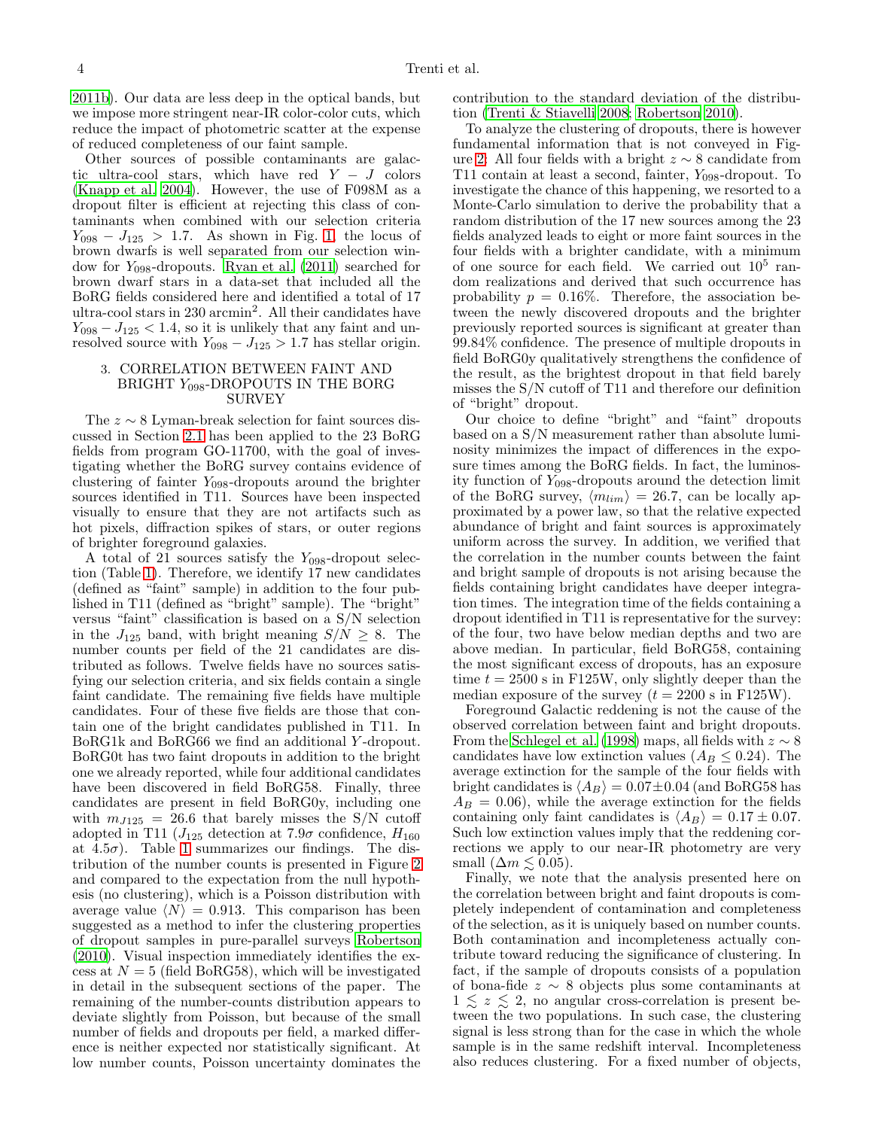[2011b](#page-9-38)). Our data are less deep in the optical bands, but we impose more stringent near-IR color-color cuts, which reduce the impact of photometric scatter at the expense of reduced completeness of our faint sample.

Other sources of possible contaminants are galactic ultra-cool stars, which have red  $Y - J$  colors [\(Knapp et al. 2004\)](#page-9-39). However, the use of F098M as a dropout filter is efficient at rejecting this class of contaminants when combined with our selection criteria  $Y_{098} - J_{125} > 1.7$ . As shown in Fig. [1,](#page-10-0) the locus of brown dwarfs is well separated from our selection window for  $Y_{098}$ -dropouts. [Ryan et al. \(2011](#page-9-40)) searched for brown dwarf stars in a data-set that included all the BoRG fields considered here and identified a total of 17 ultra-cool stars in 230 arcmin<sup>2</sup>. All their candidates have  $Y_{098} - J_{125} < 1.4$ , so it is unlikely that any faint and unresolved source with  $Y_{098} - J_{125} > 1.7$  has stellar origin.

## <span id="page-3-0"></span>3. CORRELATION BETWEEN FAINT AND BRIGHT  $Y_{098}$ -DROPOUTS IN THE BORG **SURVEY**

The  $z \sim 8$  Lyman-break selection for faint sources discussed in Section [2.1](#page-2-0) has been applied to the 23 BoRG fields from program GO-11700, with the goal of investigating whether the BoRG survey contains evidence of clustering of fainter  $Y_{098}$ -dropouts around the brighter sources identified in T11. Sources have been inspected visually to ensure that they are not artifacts such as hot pixels, diffraction spikes of stars, or outer regions of brighter foreground galaxies.

A total of 21 sources satisfy the  $Y_{0.98}$ -dropout selection (Table [1\)](#page-10-1). Therefore, we identify 17 new candidates (defined as "faint" sample) in addition to the four published in T11 (defined as "bright" sample). The "bright" versus "faint" classification is based on a S/N selection in the  $J_{125}$  band, with bright meaning  $S/N \geq 8$ . The number counts per field of the 21 candidates are distributed as follows. Twelve fields have no sources satisfying our selection criteria, and six fields contain a single faint candidate. The remaining five fields have multiple candidates. Four of these five fields are those that contain one of the bright candidates published in T11. In BoRG1k and BoRG66 we find an additional Y -dropout. BoRG0t has two faint dropouts in addition to the bright one we already reported, while four additional candidates have been discovered in field BoRG58. Finally, three candidates are present in field BoRG0y, including one with  $m_{J125} = 26.6$  that barely misses the S/N cutoff adopted in T11 ( $J_{125}$  detection at 7.9 $\sigma$  confidence,  $H_{160}$ at  $4.5\sigma$ ). Table [1](#page-10-1) summarizes our findings. The distribution of the number counts is presented in Figure [2](#page-11-0) and compared to the expectation from the null hypothesis (no clustering), which is a Poisson distribution with average value  $\langle N \rangle = 0.913$ . This comparison has been suggested as a method to infer the clustering properties of dropout samples in pure-parallel surveys [Robertson](#page-9-41) [\(2010\)](#page-9-41). Visual inspection immediately identifies the excess at  $N = 5$  (field BoRG58), which will be investigated in detail in the subsequent sections of the paper. The remaining of the number-counts distribution appears to deviate slightly from Poisson, but because of the small number of fields and dropouts per field, a marked difference is neither expected nor statistically significant. At low number counts, Poisson uncertainty dominates the

contribution to the standard deviation of the distribution [\(Trenti & Stiavelli 2008;](#page-9-42) [Robertson 2010\)](#page-9-41).

To analyze the clustering of dropouts, there is however fundamental information that is not conveyed in Fig-ure [2:](#page-11-0) All four fields with a bright  $z \sim 8$  candidate from T11 contain at least a second, fainter,  $Y_{098}$ -dropout. To investigate the chance of this happening, we resorted to a Monte-Carlo simulation to derive the probability that a random distribution of the 17 new sources among the 23 fields analyzed leads to eight or more faint sources in the four fields with a brighter candidate, with a minimum of one source for each field. We carried out  $10^5$  random realizations and derived that such occurrence has probability  $p = 0.16\%$ . Therefore, the association between the newly discovered dropouts and the brighter previously reported sources is significant at greater than 99.84% confidence. The presence of multiple dropouts in field BoRG0y qualitatively strengthens the confidence of the result, as the brightest dropout in that field barely misses the S/N cutoff of T11 and therefore our definition of "bright" dropout.

Our choice to define "bright" and "faint" dropouts based on a S/N measurement rather than absolute luminosity minimizes the impact of differences in the exposure times among the BoRG fields. In fact, the luminosity function of Y098-dropouts around the detection limit of the BoRG survey,  $\langle m_{lim} \rangle = 26.7$ , can be locally approximated by a power law, so that the relative expected abundance of bright and faint sources is approximately uniform across the survey. In addition, we verified that the correlation in the number counts between the faint and bright sample of dropouts is not arising because the fields containing bright candidates have deeper integration times. The integration time of the fields containing a dropout identified in T11 is representative for the survey: of the four, two have below median depths and two are above median. In particular, field BoRG58, containing the most significant excess of dropouts, has an exposure time  $t = 2500$  s in F125W, only slightly deeper than the median exposure of the survey  $(t = 2200 \text{ s in F125W}).$ 

Foreground Galactic reddening is not the cause of the observed correlation between faint and bright dropouts. From the [Schlegel et al. \(1998](#page-9-31)) maps, all fields with  $z \sim 8$ candidates have low extinction values ( $A_B \leq 0.24$ ). The average extinction for the sample of the four fields with bright candidates is  $\langle A_B \rangle = 0.07 \pm 0.04$  (and BoRG58 has  $A_B = 0.06$ , while the average extinction for the fields containing only faint candidates is  $\langle A_B \rangle = 0.17 \pm 0.07$ . Such low extinction values imply that the reddening corrections we apply to our near-IR photometry are very small  $(\Delta m \lesssim 0.05)$ .

Finally, we note that the analysis presented here on the correlation between bright and faint dropouts is completely independent of contamination and completeness of the selection, as it is uniquely based on number counts. Both contamination and incompleteness actually contribute toward reducing the significance of clustering. In fact, if the sample of dropouts consists of a population of bona-fide z ∼ 8 objects plus some contaminants at  $1 \leq z \leq 2$ , no angular cross-correlation is present between the two populations. In such case, the clustering signal is less strong than for the case in which the whole sample is in the same redshift interval. Incompleteness also reduces clustering. For a fixed number of objects,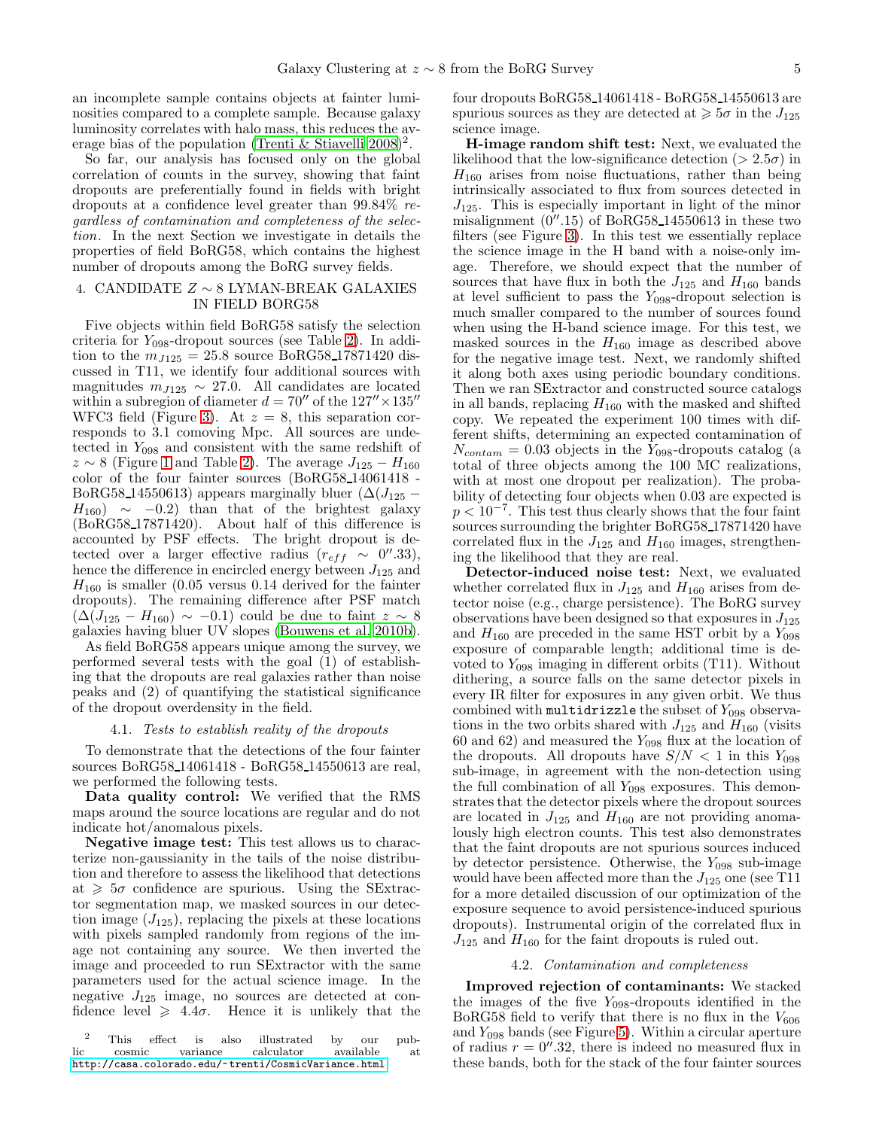an incomplete sample contains objects at fainter luminosities compared to a complete sample. Because galaxy luminosity correlates with halo mass, this reduces the av-erage bias of the population [\(Trenti & Stiavelli 2008\)](#page-9-42)<sup>2</sup>.

So far, our analysis has focused only on the global correlation of counts in the survey, showing that faint dropouts are preferentially found in fields with bright dropouts at a confidence level greater than 99.84% regardless of contamination and completeness of the selection. In the next Section we investigate in details the properties of field BoRG58, which contains the highest number of dropouts among the BoRG survey fields.

### <span id="page-4-0"></span>4. CANDIDATE  $Z \sim 8$  LYMAN-BREAK GALAXIES IN FIELD BORG58

Five objects within field BoRG58 satisfy the selection criteria for  $Y_{098}$ -dropout sources (see Table [2\)](#page-11-1). In addition to the  $m_{J125} = 25.8$  source BoRG58.17871420 discussed in T11, we identify four additional sources with magnitudes  $m_{J125} \sim 27.0$ . All candidates are located within a subregion of diameter  $d = 70''$  of the  $127'' \times 135''$ WFC3 field (Figure [3\)](#page-12-0). At  $z = 8$ , this separation corresponds to 3.1 comoving Mpc. All sources are undetected in  $Y_{098}$  and consistent with the same redshift of  $z \sim 8$  (Figure [1](#page-10-0) and Table [2\)](#page-11-1). The average  $J_{125} - H_{160}$ color of the four fainter sources (BoRG58 14061418 - BoRG58<sub>-14550613</sub>) appears marginally bluer ( $\Delta(J_{125}$  –  $H_{160}$  ~ −0.2) than that of the brightest galaxy (BoRG58 17871420). About half of this difference is accounted by PSF effects. The bright dropout is detected over a larger effective radius  $(r_{eff} \sim 0''.33),$ hence the difference in encircled energy between  $J_{125}$  and  $H_{160}$  is smaller (0.05 versus 0.14 derived for the fainter dropouts). The remaining difference after PSF match  $(\Delta(J_{125} - H_{160}) \sim -0.1)$  could be due to faint  $z \sim 8$ galaxies having bluer UV slopes [\(Bouwens et al. 2010b\)](#page-9-43).

As field BoRG58 appears unique among the survey, we performed several tests with the goal (1) of establishing that the dropouts are real galaxies rather than noise peaks and (2) of quantifying the statistical significance of the dropout overdensity in the field.

### 4.1. Tests to establish reality of the dropouts

To demonstrate that the detections of the four fainter sources BoRG58 14061418 - BoRG58 14550613 are real, we performed the following tests.

Data quality control: We verified that the RMS maps around the source locations are regular and do not indicate hot/anomalous pixels.

Negative image test: This test allows us to characterize non-gaussianity in the tails of the noise distribution and therefore to assess the likelihood that detections at  $\geq 5\sigma$  confidence are spurious. Using the SExtractor segmentation map, we masked sources in our detection image  $(J_{125})$ , replacing the pixels at these locations with pixels sampled randomly from regions of the image not containing any source. We then inverted the image and proceeded to run SExtractor with the same parameters used for the actual science image. In the negative  $J_{125}$  image, no sources are detected at confidence level  $\geq 4.4\sigma$ . Hence it is unlikely that the

four dropouts BoRG58 14061418 - BoRG58 14550613 are spurious sources as they are detected at  $\geq 5\sigma$  in the  $J_{125}$ science image.

H-image random shift test: Next, we evaluated the likelihood that the low-significance detection ( $> 2.5\sigma$ ) in  $H_{160}$  arises from noise fluctuations, rather than being intrinsically associated to flux from sources detected in  $J_{125}$ . This is especially important in light of the minor misalignment  $(0''.15)$  of BoRG58 14550613 in these two filters (see Figure [3\)](#page-12-0). In this test we essentially replace the science image in the H band with a noise-only image. Therefore, we should expect that the number of sources that have flux in both the  $J_{125}$  and  $H_{160}$  bands at level sufficient to pass the  $Y_{098}$ -dropout selection is much smaller compared to the number of sources found when using the H-band science image. For this test, we masked sources in the  $H_{160}$  image as described above for the negative image test. Next, we randomly shifted it along both axes using periodic boundary conditions. Then we ran SExtractor and constructed source catalogs in all bands, replacing  $H_{160}$  with the masked and shifted copy. We repeated the experiment 100 times with different shifts, determining an expected contamination of  $N_{contam} = 0.03$  objects in the Y<sub>098</sub>-dropouts catalog (a total of three objects among the 100 MC realizations, with at most one dropout per realization). The probability of detecting four objects when 0.03 are expected is  $p < 10^{-7}$ . This test thus clearly shows that the four faint sources surrounding the brighter BoRG58<sub>17871420</sub> have correlated flux in the  $J_{125}$  and  $H_{160}$  images, strengthening the likelihood that they are real.

Detector-induced noise test: Next, we evaluated whether correlated flux in  $J_{125}$  and  $H_{160}$  arises from detector noise (e.g., charge persistence). The BoRG survey observations have been designed so that exposures in  $J_{125}$ and  $H_{160}$  are preceded in the same HST orbit by a  $Y_{098}$ exposure of comparable length; additional time is devoted to  $Y_{098}$  imaging in different orbits (T11). Without dithering, a source falls on the same detector pixels in every IR filter for exposures in any given orbit. We thus combined with multidrizzle the subset of  $Y_{098}$  observations in the two orbits shared with  $J_{125}$  and  $H_{160}$  (visits 60 and 62) and measured the  $Y_{098}$  flux at the location of the dropouts. All dropouts have  $S/N < 1$  in this  $Y_{0.98}$ sub-image, in agreement with the non-detection using the full combination of all  $Y_{098}$  exposures. This demonstrates that the detector pixels where the dropout sources are located in  $J_{125}$  and  $H_{160}$  are not providing anomalously high electron counts. This test also demonstrates that the faint dropouts are not spurious sources induced by detector persistence. Otherwise, the  $Y_{098}$  sub-image would have been affected more than the  $J_{125}$  one (see T11 for a more detailed discussion of our optimization of the exposure sequence to avoid persistence-induced spurious dropouts). Instrumental origin of the correlated flux in  $J_{125}$  and  $H_{160}$  for the faint dropouts is ruled out.

#### 4.2. Contamination and completeness

<span id="page-4-1"></span>Improved rejection of contaminants: We stacked the images of the five  $Y_{098}$ -dropouts identified in the BoRG58 field to verify that there is no flux in the  $V_{606}$ and  $Y_{098}$  bands (see Figure [5\)](#page-14-0). Within a circular aperture of radius  $r = 0$ <sup>n</sup>.32, there is indeed no measured flux in these bands, both for the stack of the four fainter sources

<sup>&</sup>lt;sup>2</sup> This effect is also illustrated by our pub-<br>lic cosmic variance calculator available at variance calculator <http://casa.colorado.edu/~trenti/CosmicVariance.html>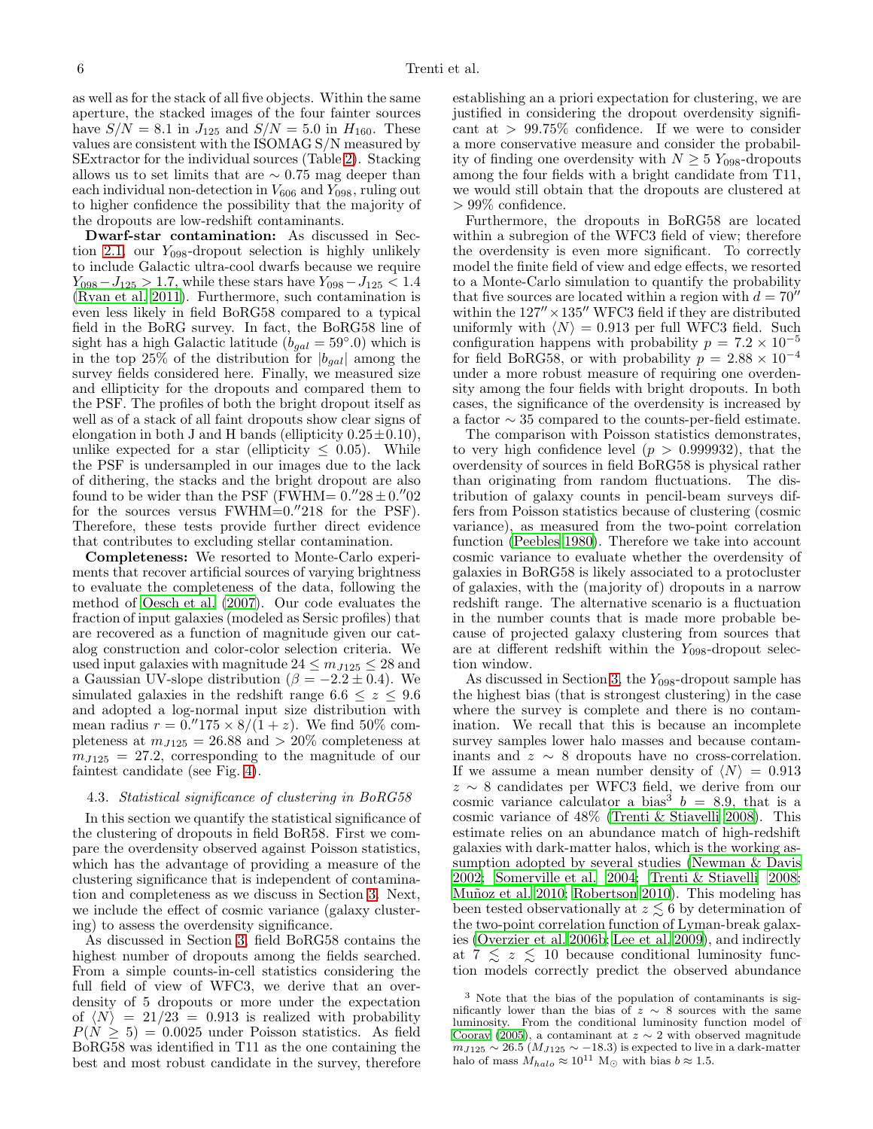as well as for the stack of all five objects. Within the same aperture, the stacked images of the four fainter sources have  $S/N = 8.1$  in  $J_{125}$  and  $S/N = 5.0$  in  $H_{160}$ . These values are consistent with the ISOMAG S/N measured by SExtractor for the individual sources (Table [2\)](#page-11-1). Stacking allows us to set limits that are  $\sim 0.75$  mag deeper than each individual non-detection in  $V_{606}$  and  $Y_{098}$ , ruling out to higher confidence the possibility that the majority of the dropouts are low-redshift contaminants.

Dwarf-star contamination: As discussed in Sec-tion [2.1,](#page-2-0) our  $Y_{098}$ -dropout selection is highly unlikely to include Galactic ultra-cool dwarfs because we require  $Y_{098} - J_{125} > 1.7$ , while these stars have  $Y_{098} - J_{125} < 1.4$ [\(Ryan et al. 2011\)](#page-9-40). Furthermore, such contamination is even less likely in field BoRG58 compared to a typical field in the BoRG survey. In fact, the BoRG58 line of sight has a high Galactic latitude  $(b_{gal} = 59°.0)$  which is in the top 25% of the distribution for  $|b_{gal}|$  among the survey fields considered here. Finally, we measured size and ellipticity for the dropouts and compared them to the PSF. The profiles of both the bright dropout itself as well as of a stack of all faint dropouts show clear signs of elongation in both J and H bands (ellipticity  $0.25 \pm 0.10$ ), unlike expected for a star (ellipticity  $\leq 0.05$ ). While the PSF is undersampled in our images due to the lack of dithering, the stacks and the bright dropout are also found to be wider than the PSF (FWHM=  $0.^{\prime\prime}28 \pm 0.^{\prime\prime}02$ for the sources versus  $FWHM=0."218$  for the PSF). Therefore, these tests provide further direct evidence that contributes to excluding stellar contamination.

Completeness: We resorted to Monte-Carlo experiments that recover artificial sources of varying brightness to evaluate the completeness of the data, following the method of [Oesch et al. \(2007](#page-9-33)). Our code evaluates the fraction of input galaxies (modeled as Sersic profiles) that are recovered as a function of magnitude given our catalog construction and color-color selection criteria. We used input galaxies with magnitude  $24 \le m_{J125} \le 28$  and a Gaussian UV-slope distribution ( $\beta = -2.2 \pm 0.4$ ). We simulated galaxies in the redshift range  $6.6 \leq z \leq 9.6$ and adopted a log-normal input size distribution with mean radius  $r = 0.7175 \times 8/(1 + z)$ . We find 50% completeness at  $m_{J125} = 26.88$  and  $> 20\%$  completeness at  $m_{J125} = 27.2$ , corresponding to the magnitude of our faintest candidate (see Fig. [4\)](#page-13-0).

#### <span id="page-5-0"></span>4.3. Statistical significance of clustering in BoRG58

In this section we quantify the statistical significance of the clustering of dropouts in field BoR58. First we compare the overdensity observed against Poisson statistics, which has the advantage of providing a measure of the clustering significance that is independent of contamination and completeness as we discuss in Section [3.](#page-3-0) Next, we include the effect of cosmic variance (galaxy clustering) to assess the overdensity significance.

As discussed in Section [3,](#page-3-0) field BoRG58 contains the highest number of dropouts among the fields searched. From a simple counts-in-cell statistics considering the full field of view of WFC3, we derive that an overdensity of 5 dropouts or more under the expectation of  $\langle N \rangle = 21/23 = 0.913$  is realized with probability  $P(N \geq 5) = 0.0025$  under Poisson statistics. As field BoRG58 was identified in T11 as the one containing the best and most robust candidate in the survey, therefore

establishing an a priori expectation for clustering, we are justified in considering the dropout overdensity significant at  $> 99.75\%$  confidence. If we were to consider a more conservative measure and consider the probability of finding one overdensity with  $N \geq 5$  Y<sub>098</sub>-dropouts among the four fields with a bright candidate from T11, we would still obtain that the dropouts are clustered at  $> 99\%$  confidence.

Furthermore, the dropouts in BoRG58 are located within a subregion of the WFC3 field of view; therefore the overdensity is even more significant. To correctly model the finite field of view and edge effects, we resorted to a Monte-Carlo simulation to quantify the probability that five sources are located within a region with  $d = 70''$ within the  $127'' \times 135''$  WFC3 field if they are distributed uniformly with  $\langle N \rangle = 0.913$  per full WFC3 field. Such configuration happens with probability  $p = 7.2 \times 10^{-5}$ for field BoRG58, or with probability  $p = 2.88 \times 10^{-4}$ under a more robust measure of requiring one overdensity among the four fields with bright dropouts. In both cases, the significance of the overdensity is increased by a factor  $\sim$  35 compared to the counts-per-field estimate.

The comparison with Poisson statistics demonstrates, to very high confidence level  $(p > 0.999932)$ , that the overdensity of sources in field BoRG58 is physical rather than originating from random fluctuations. The distribution of galaxy counts in pencil-beam surveys differs from Poisson statistics because of clustering (cosmic variance), as measured from the two-point correlation function [\(Peebles 1980\)](#page-9-44). Therefore we take into account cosmic variance to evaluate whether the overdensity of galaxies in BoRG58 is likely associated to a protocluster of galaxies, with the (majority of) dropouts in a narrow redshift range. The alternative scenario is a fluctuation in the number counts that is made more probable because of projected galaxy clustering from sources that are at different redshift within the  $Y_{098}$ -dropout selection window.

As discussed in Section [3,](#page-3-0) the  $Y_{098}$ -dropout sample has the highest bias (that is strongest clustering) in the case where the survey is complete and there is no contamination. We recall that this is because an incomplete survey samples lower halo masses and because contaminants and  $z \sim 8$  dropouts have no cross-correlation. If we assume a mean number density of  $\langle N \rangle = 0.913$ z ∼ 8 candidates per WFC3 field, we derive from our cosmic variance calculator a bias<sup>3</sup>  $b = 8.9$ , that is a cosmic variance of 48% [\(Trenti & Stiavelli 2008\)](#page-9-42). This estimate relies on an abundance match of high-redshift galaxies with dark-matter halos, which is the working assumption adopted by several studies [\(Newman & Davis](#page-9-45) [2002;](#page-9-45) [Somerville et al. 2004;](#page-9-46) [Trenti & Stiavelli 2008](#page-9-42); Muñoz et al. 2010; [Robertson 2010\)](#page-9-41). This modeling has been tested observationally at  $z \lesssim 6$  by determination of the two-point correlation function of Lyman-break galaxies [\(Overzier et al. 2006b;](#page-9-48) [Lee et al. 2009\)](#page-9-49), and indirectly at  $7 \leq z \leq 10$  because conditional luminosity function models correctly predict the observed abundance

<sup>3</sup> Note that the bias of the population of contaminants is significantly lower than the bias of  $z \sim 8$  sources with the same luminosity. From the conditional luminosity function model of [Cooray \(2005](#page-9-50)), a contaminant at  $z \sim 2$  with observed magnitude  $m_{J125} \sim 26.5 \ (M_{J125} \sim -18.3)$  is expected to live in a dark-matter halo of mass  $M_{halo} \approx 10^{11}$  M<sub>☉</sub> with bias  $b \approx 1.5$ .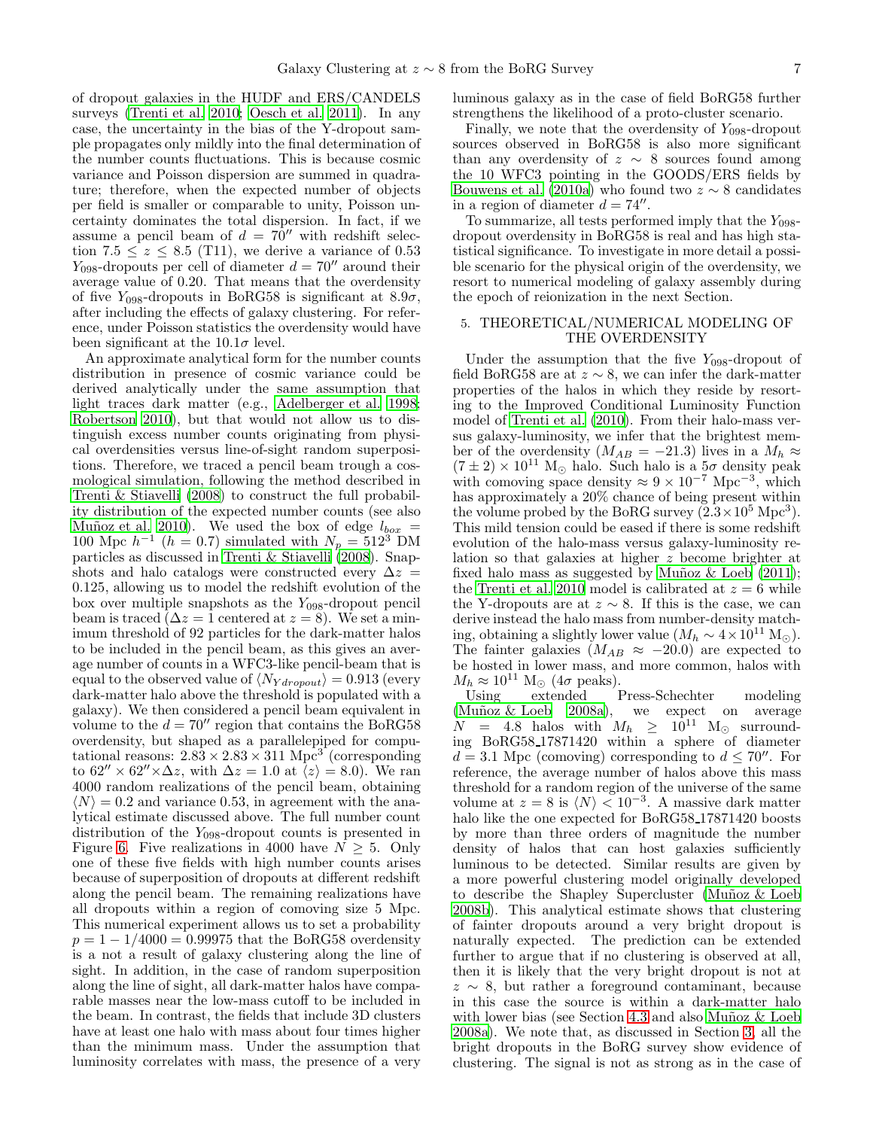of dropout galaxies in the HUDF and ERS/CANDELS surveys [\(Trenti et al. 2010;](#page-9-15) [Oesch et al. 2011\)](#page-9-51). In any case, the uncertainty in the bias of the Y-dropout sample propagates only mildly into the final determination of the number counts fluctuations. This is because cosmic variance and Poisson dispersion are summed in quadrature; therefore, when the expected number of objects per field is smaller or comparable to unity, Poisson uncertainty dominates the total dispersion. In fact, if we assume a pencil beam of  $d = 70''$  with redshift selection 7.5  $\leq z \leq$  8.5 (T11), we derive a variance of 0.53  $Y_{098}$ -dropouts per cell of diameter  $d = 70''$  around their average value of 0.20. That means that the overdensity of five  $Y_{098}$ -dropouts in BoRG58 is significant at 8.9 $\sigma$ , after including the effects of galaxy clustering. For reference, under Poisson statistics the overdensity would have been significant at the  $10.1\sigma$  level.

An approximate analytical form for the number counts distribution in presence of cosmic variance could be derived analytically under the same assumption that light traces dark matter (e.g., [Adelberger et al. 1998;](#page-9-52) [Robertson 2010](#page-9-41)), but that would not allow us to distinguish excess number counts originating from physical overdensities versus line-of-sight random superpositions. Therefore, we traced a pencil beam trough a cosmological simulation, following the method described in [Trenti & Stiavelli \(2008](#page-9-42)) to construct the full probability distribution of the expected number counts (see also Muñoz et al. 2010). We used the box of edge  $l_{box}$  = 100 Mpc  $h^{-1}$  ( $h = 0.7$ ) simulated with  $N_p = 512^3$  DM particles as discussed in [Trenti & Stiavelli \(2008](#page-9-42)). Snapshots and halo catalogs were constructed every  $\Delta z =$ 0.125, allowing us to model the redshift evolution of the box over multiple snapshots as the  $Y_{098}$ -dropout pencil beam is traced  $(\Delta z = 1$  centered at  $z = 8$ ). We set a minimum threshold of 92 particles for the dark-matter halos to be included in the pencil beam, as this gives an average number of counts in a WFC3-like pencil-beam that is equal to the observed value of  $\langle N_{Y dropout} \rangle = 0.913$  (every dark-matter halo above the threshold is populated with a galaxy). We then considered a pencil beam equivalent in volume to the  $d = 70''$  region that contains the BoRG58 overdensity, but shaped as a parallelepiped for computational reasons:  $2.83 \times 2.83 \times 311$  Mpc<sup>3</sup> (corresponding to  $62'' \times 62'' \times \Delta z$ , with  $\Delta z = 1.0$  at  $\langle z \rangle = 8.0$ ). We ran 4000 random realizations of the pencil beam, obtaining  $\langle N \rangle = 0.2$  and variance 0.53, in agreement with the analytical estimate discussed above. The full number count distribution of the  $Y_{098}$ -dropout counts is presented in Figure [6.](#page-15-0) Five realizations in 4000 have  $N \geq 5$ . Only one of these five fields with high number counts arises because of superposition of dropouts at different redshift along the pencil beam. The remaining realizations have all dropouts within a region of comoving size 5 Mpc. This numerical experiment allows us to set a probability  $p = 1 - 1/4000 = 0.99975$  that the BoRG58 overdensity is a not a result of galaxy clustering along the line of sight. In addition, in the case of random superposition along the line of sight, all dark-matter halos have comparable masses near the low-mass cutoff to be included in the beam. In contrast, the fields that include 3D clusters have at least one halo with mass about four times higher than the minimum mass. Under the assumption that luminosity correlates with mass, the presence of a very

luminous galaxy as in the case of field BoRG58 further strengthens the likelihood of a proto-cluster scenario.

Finally, we note that the overdensity of  $Y_{098}$ -dropout sources observed in BoRG58 is also more significant than any overdensity of  $z \sim 8$  sources found among the 10 WFC3 pointing in the GOODS/ERS fields by [Bouwens et al. \(2010a\)](#page-9-1) who found two  $z \sim 8$  candidates in a region of diameter  $d = 74''$ .

To summarize, all tests performed imply that the  $Y_{0.98}$ dropout overdensity in BoRG58 is real and has high statistical significance. To investigate in more detail a possible scenario for the physical origin of the overdensity, we resort to numerical modeling of galaxy assembly during the epoch of reionization in the next Section.

### <span id="page-6-0"></span>5. THEORETICAL/NUMERICAL MODELING OF THE OVERDENSITY

Under the assumption that the five  $Y_{098}$ -dropout of field BoRG58 are at  $z \sim 8$ , we can infer the dark-matter properties of the halos in which they reside by resorting to the Improved Conditional Luminosity Function model of [Trenti et al. \(2010\)](#page-9-15). From their halo-mass versus galaxy-luminosity, we infer that the brightest member of the overdensity  $(M_{AB} = -21.3)$  lives in a  $M_h \approx$  $(7 \pm 2) \times 10^{11}$  M<sub>o</sub> halo. Such halo is a  $5\sigma$  density peak with comoving space density  $\approx 9 \times 10^{-7}$  Mpc<sup>-3</sup>, which has approximately a 20% chance of being present within the volume probed by the BoRG survey  $(2.3 \times 10^5 \text{ Mpc}^3)$ . This mild tension could be eased if there is some redshift evolution of the halo-mass versus galaxy-luminosity relation so that galaxies at higher z become brighter at fixed halo mass as suggested by Muñoz  $\&$  Loeb (2011); the [Trenti et al. 2010](#page-9-15) model is calibrated at  $z = 6$  while the Y-dropouts are at  $z \sim 8$ . If this is the case, we can derive instead the halo mass from number-density matching, obtaining a slightly lower value  $(M_h \sim 4 \times 10^{11} M_{\odot})$ . The fainter galaxies ( $M_{AB} \approx -20.0$ ) are expected to be hosted in lower mass, and more common, halos with  $M_h \approx 10^{11} \text{ M}_{\odot}$  (4 $\sigma$  peaks).<br>Using extended H

Press-Schechter modeling (Muñoz  $\&$  Loeb 2008a), we expect on average  $N = 4.8$  halos with  $M_h \geq 10^{11}$  M<sub>o</sub> surrounding BoRG58 17871420 within a sphere of diameter  $d = 3.1$  Mpc (comoving) corresponding to  $d \leq 70''$ . For reference, the average number of halos above this mass threshold for a random region of the universe of the same volume at  $z = 8$  is  $\langle N \rangle < 10^{-3}$ . A massive dark matter halo like the one expected for BoRG58 17871420 boosts by more than three orders of magnitude the number density of halos that can host galaxies sufficiently luminous to be detected. Similar results are given by a more powerful clustering model originally developed to describe the Shapley Supercluster (Muñoz  $&$  Loeb [2008b](#page-9-54)). This analytical estimate shows that clustering of fainter dropouts around a very bright dropout is naturally expected. The prediction can be extended further to argue that if no clustering is observed at all, then it is likely that the very bright dropout is not at  $z \sim 8$ , but rather a foreground contaminant, because in this case the source is within a dark-matter halo with lower bias (see Section [4.3](#page-5-0) and also Muñoz  $\&$  Loeb [2008a\)](#page-9-26). We note that, as discussed in Section [3,](#page-3-0) all the bright dropouts in the BoRG survey show evidence of clustering. The signal is not as strong as in the case of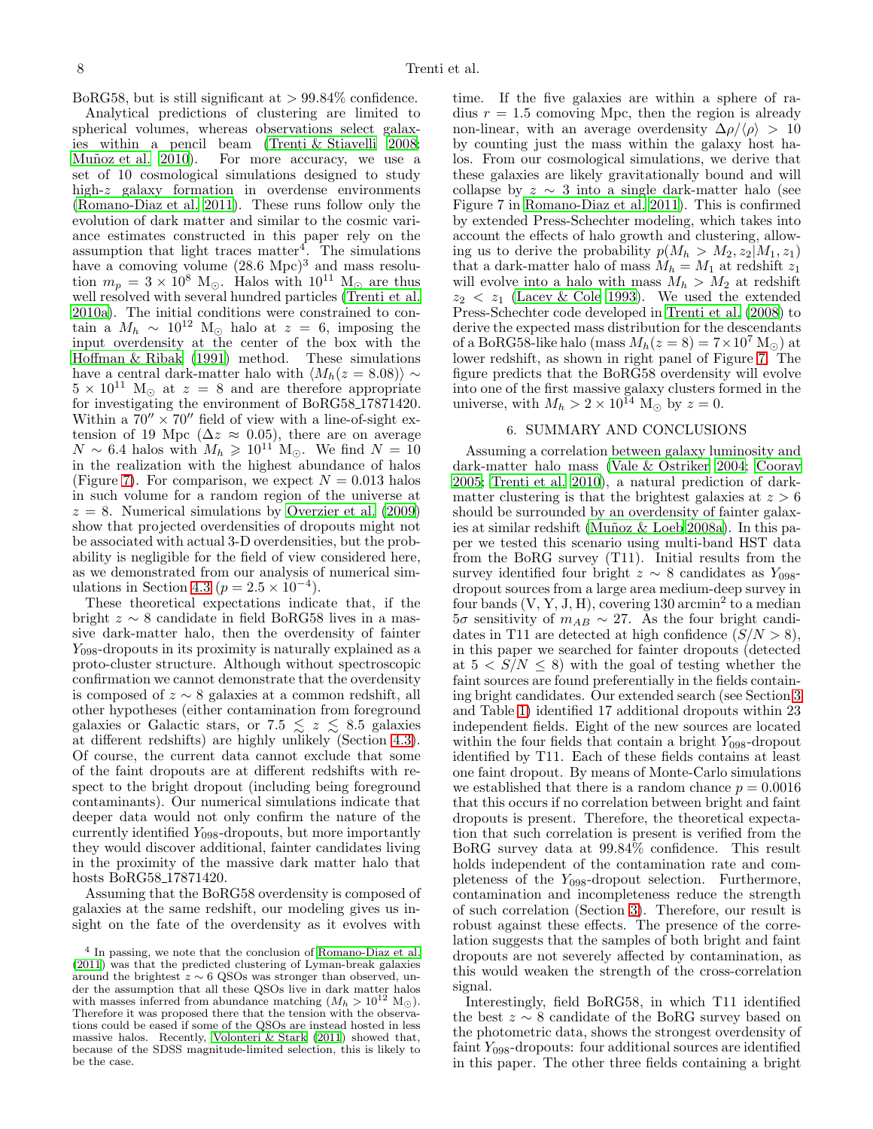BoRG58, but is still significant at  $> 99.84\%$  confidence.

Analytical predictions of clustering are limited to spherical volumes, whereas observations select galaxies within a pencil beam [\(Trenti & Stiavelli 2008;](#page-9-42) For more accuracy, we use a set of 10 cosmological simulations designed to study high-z galaxy formation in overdense environments [\(Romano-Diaz et al. 2011\)](#page-9-55). These runs follow only the evolution of dark matter and similar to the cosmic variance estimates constructed in this paper rely on the assumption that light traces matter<sup>4</sup> . The simulations have a comoving volume  $(28.6 \text{ Mpc})^3$  and mass resolution  $m_p = 3 \times 10^8$  M<sub>☉</sub>. Halos with  $10^{11}$  M<sub>☉</sub> are thus well resolved with several hundred particles [\(Trenti et al.](#page-9-56) [2010a\)](#page-9-56). The initial conditions were constrained to contain a  $M_h \sim 10^{12}$  M<sub>☉</sub> halo at  $z = 6$ , imposing the input overdensity at the center of the box with the [Hoffman & Ribak \(1991\)](#page-9-57) method. These simulations have a central dark-matter halo with  $\langle M_h(z = 8.08) \rangle \sim$  $5 \times 10^{11}$  M<sub>☉</sub> at  $z = 8$  and are therefore appropriate for investigating the environment of BoRG58 17871420. Within a  $70'' \times 70''$  field of view with a line-of-sight extension of 19 Mpc ( $\Delta z \approx 0.05$ ), there are on average  $N \sim 6.4$  halos with  $M_h \geq 10^{11}$  M<sub>o</sub>. We find  $N = 10$ in the realization with the highest abundance of halos (Figure [7\)](#page-16-0). For comparison, we expect  $N = 0.013$  halos in such volume for a random region of the universe at  $z = 8$ . Numerical simulations by [Overzier et al. \(2009](#page-9-58)) show that projected overdensities of dropouts might not be associated with actual 3-D overdensities, but the probability is negligible for the field of view considered here, as we demonstrated from our analysis of numerical sim-ulations in Section [4.3](#page-5-0) ( $p = 2.5 \times 10^{-4}$ ).

These theoretical expectations indicate that, if the bright  $z \sim 8$  candidate in field BoRG58 lives in a massive dark-matter halo, then the overdensity of fainter  $Y_{098}$ -dropouts in its proximity is naturally explained as a proto-cluster structure. Although without spectroscopic confirmation we cannot demonstrate that the overdensity is composed of  $z \sim 8$  galaxies at a common redshift, all other hypotheses (either contamination from foreground galaxies or Galactic stars, or 7.5  $\lesssim z \lesssim 8.5$  galaxies at different redshifts) are highly unlikely (Section [4.3\)](#page-5-0). Of course, the current data cannot exclude that some of the faint dropouts are at different redshifts with respect to the bright dropout (including being foreground contaminants). Our numerical simulations indicate that deeper data would not only confirm the nature of the currently identified  $Y_{098}$ -dropouts, but more importantly they would discover additional, fainter candidates living in the proximity of the massive dark matter halo that hosts BoRG58 17871420.

Assuming that the BoRG58 overdensity is composed of galaxies at the same redshift, our modeling gives us insight on the fate of the overdensity as it evolves with

time. If the five galaxies are within a sphere of radius  $r = 1.5$  comoving Mpc, then the region is already non-linear, with an average overdensity  $\Delta \rho / \langle \rho \rangle > 10$ by counting just the mass within the galaxy host halos. From our cosmological simulations, we derive that these galaxies are likely gravitationally bound and will collapse by  $z \sim 3$  into a single dark-matter halo (see Figure 7 in [Romano-Diaz et al. 2011](#page-9-55)). This is confirmed by extended Press-Schechter modeling, which takes into account the effects of halo growth and clustering, allowing us to derive the probability  $p(M_h > M_2, z_2|M_1, z_1)$ that a dark-matter halo of mass  $M_h = M_1$  at redshift  $z_1$ will evolve into a halo with mass  $M_h > M_2$  at redshift  $z_2 \leq z_1$  [\(Lacey & Cole 1993](#page-9-60)). We used the extended Press-Schechter code developed in [Trenti et al. \(2008](#page-9-61)) to derive the expected mass distribution for the descendants of a BoRG58-like halo (mass  $M_h(z=8) = 7 \times 10^7$  M<sub>o</sub>) at lower redshift, as shown in right panel of Figure [7.](#page-16-0) The figure predicts that the BoRG58 overdensity will evolve into one of the first massive galaxy clusters formed in the universe, with  $M_h > 2 \times 10^{14}$  M<sub>o</sub> by  $z = 0$ .

### 6. SUMMARY AND CONCLUSIONS

<span id="page-7-0"></span>Assuming a correlation between galaxy luminosity and dark-matter halo mass [\(Vale & Ostriker 2004;](#page-9-62) [Cooray](#page-9-50) [2005;](#page-9-50) [Trenti et al. 2010](#page-9-15)), a natural prediction of darkmatter clustering is that the brightest galaxies at  $z > 6$ should be surrounded by an overdensity of fainter galaxies at similar redshift (Muñoz  $\&$  Loeb 2008a). In this paper we tested this scenario using multi-band HST data from the BoRG survey (T11). Initial results from the survey identified four bright  $z \sim 8$  candidates as  $Y_{0.08}$ dropout sources from a large area medium-deep survey in four bands  $(V, Y, J, H)$ , covering 130 arcmin<sup>2</sup> to a median  $5\sigma$  sensitivity of  $m_{AB} \sim 27$ . As the four bright candidates in T11 are detected at high confidence  $(S/N > 8)$ , in this paper we searched for fainter dropouts (detected at  $5 < S/N \leq 8$ ) with the goal of testing whether the faint sources are found preferentially in the fields containing bright candidates. Our extended search (see Section [3](#page-3-0) and Table [1\)](#page-10-1) identified 17 additional dropouts within 23 independent fields. Eight of the new sources are located within the four fields that contain a bright  $Y_{098}$ -dropout identified by T11. Each of these fields contains at least one faint dropout. By means of Monte-Carlo simulations we established that there is a random chance  $p = 0.0016$ that this occurs if no correlation between bright and faint dropouts is present. Therefore, the theoretical expectation that such correlation is present is verified from the BoRG survey data at 99.84% confidence. This result holds independent of the contamination rate and completeness of the  $Y_{098}$ -dropout selection. Furthermore, contamination and incompleteness reduce the strength of such correlation (Section [3\)](#page-3-0). Therefore, our result is robust against these effects. The presence of the correlation suggests that the samples of both bright and faint dropouts are not severely affected by contamination, as this would weaken the strength of the cross-correlation signal.

Interestingly, field BoRG58, in which T11 identified the best  $z \sim 8$  candidate of the BoRG survey based on the photometric data, shows the strongest overdensity of faint  $Y_{098}$ -dropouts: four additional sources are identified in this paper. The other three fields containing a bright

<sup>4</sup> In passing, we note that the conclusion of [Romano-Diaz et al.](#page-9-55) [\(2011\)](#page-9-55) was that the predicted clustering of Lyman-break galaxies around the brightest  $z \sim 6$  QSOs was stronger than observed, under the assumption that all these QSOs live in dark matter halos<br>with masses inferred from abundance matching  $(M_h > 10^{12} M_{\odot})$ .<br>Therefore it was proposed there that the tension with the observations could be eased if some of the QSOs are instead hosted in less massive halos. Recently, [Volonteri & Stark \(2011](#page-9-59)) showed that, because of the SDSS magnitude-limited selection, this is likely to be the case.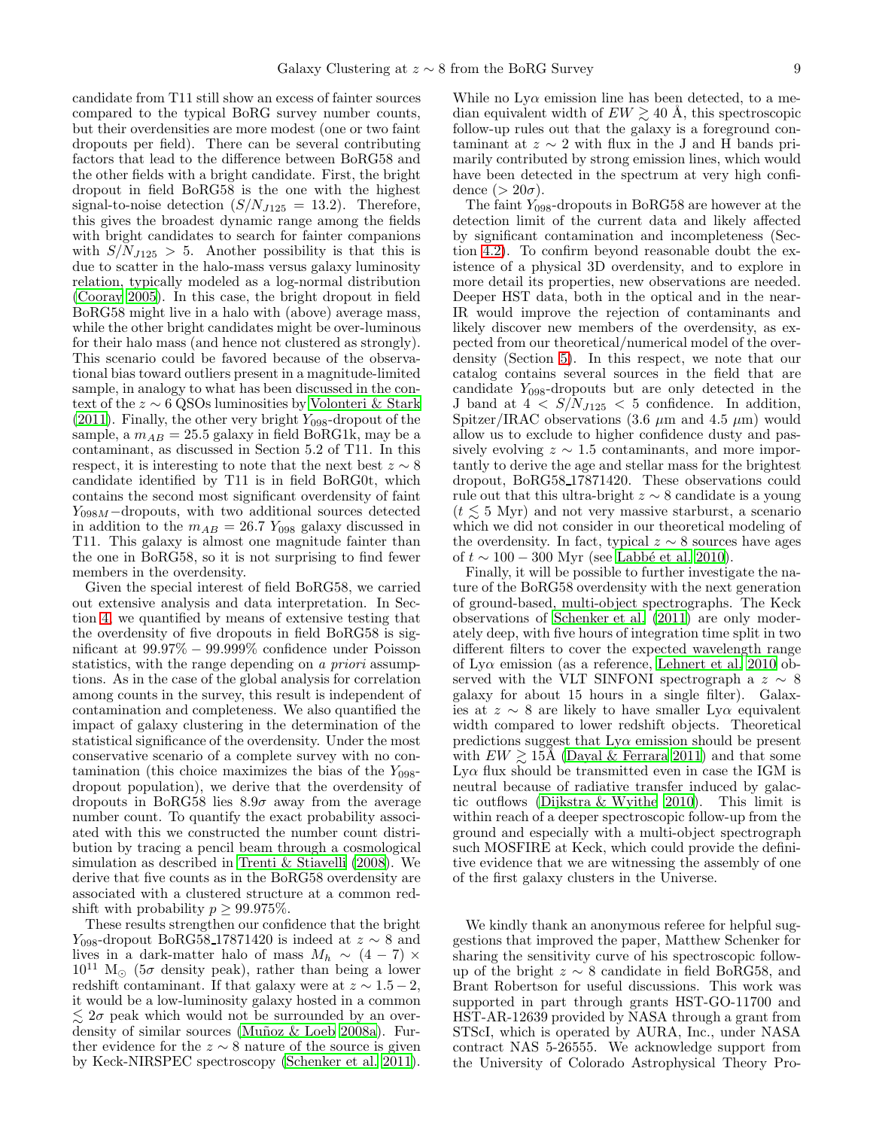candidate from T11 still show an excess of fainter sources compared to the typical BoRG survey number counts, but their overdensities are more modest (one or two faint dropouts per field). There can be several contributing factors that lead to the difference between BoRG58 and the other fields with a bright candidate. First, the bright dropout in field BoRG58 is the one with the highest signal-to-noise detection  $(S/N_{J125} = 13.2)$ . Therefore, this gives the broadest dynamic range among the fields with bright candidates to search for fainter companions with  $S/N_{J125} > 5$ . Another possibility is that this is due to scatter in the halo-mass versus galaxy luminosity relation, typically modeled as a log-normal distribution [\(Cooray 2005\)](#page-9-50). In this case, the bright dropout in field BoRG58 might live in a halo with (above) average mass, while the other bright candidates might be over-luminous for their halo mass (and hence not clustered as strongly). This scenario could be favored because of the observational bias toward outliers present in a magnitude-limited sample, in analogy to what has been discussed in the context of the z ∼ 6 QSOs luminosities by [Volonteri & Stark](#page-9-59)  $(2011)$ . Finally, the other very bright  $Y_{098}$ -dropout of the sample, a  $m_{AB} = 25.5$  galaxy in field BoRG1k, may be a contaminant, as discussed in Section 5.2 of T11. In this respect, it is interesting to note that the next best  $z \sim 8$ candidate identified by T11 is in field BoRG0t, which contains the second most significant overdensity of faint  $Y_{098M}$  –dropouts, with two additional sources detected in addition to the  $m_{AB} = 26.7$  Y<sub>098</sub> galaxy discussed in T11. This galaxy is almost one magnitude fainter than the one in BoRG58, so it is not surprising to find fewer members in the overdensity.

Given the special interest of field BoRG58, we carried out extensive analysis and data interpretation. In Section [4,](#page-4-0) we quantified by means of extensive testing that the overdensity of five dropouts in field BoRG58 is significant at 99.97% − 99.999% confidence under Poisson statistics, with the range depending on a *priori* assumptions. As in the case of the global analysis for correlation among counts in the survey, this result is independent of contamination and completeness. We also quantified the impact of galaxy clustering in the determination of the statistical significance of the overdensity. Under the most conservative scenario of a complete survey with no contamination (this choice maximizes the bias of the  $Y_{0.98}$ dropout population), we derive that the overdensity of dropouts in BoRG58 lies  $8.9\sigma$  away from the average number count. To quantify the exact probability associated with this we constructed the number count distribution by tracing a pencil beam through a cosmological simulation as described in [Trenti & Stiavelli \(2008](#page-9-42)). We derive that five counts as in the BoRG58 overdensity are associated with a clustered structure at a common redshift with probability  $p \geq 99.975\%$ .

These results strengthen our confidence that the bright  $Y_{098}$ -dropout BoRG58 17871420 is indeed at  $z \sim 8$  and lives in a dark-matter halo of mass  $M_h \sim (4-7) \times$  $10^{11}$  M<sub>☉</sub> (5 $\sigma$  density peak), rather than being a lower redshift contaminant. If that galaxy were at  $z \sim 1.5 - 2$ , it would be a low-luminosity galaxy hosted in a common  $\lesssim 2\sigma$  peak which would not be surrounded by an overdensity of similar sources (Muñoz & Loeb 2008a). Further evidence for the  $z \sim 8$  nature of the source is given by Keck-NIRSPEC spectroscopy [\(Schenker et al. 2011\)](#page-9-13).

While no  $Ly\alpha$  emission line has been detected, to a median equivalent width of  $EW \gtrsim 40$  Å, this spectroscopic follow-up rules out that the galaxy is a foreground contaminant at  $z \sim 2$  with flux in the J and H bands primarily contributed by strong emission lines, which would have been detected in the spectrum at very high confidence  $(> 20\sigma)$ .

The faint  $Y_{098}$ -dropouts in BoRG58 are however at the detection limit of the current data and likely affected by significant contamination and incompleteness (Section [4.2\)](#page-4-1). To confirm beyond reasonable doubt the existence of a physical 3D overdensity, and to explore in more detail its properties, new observations are needed. Deeper HST data, both in the optical and in the near-IR would improve the rejection of contaminants and likely discover new members of the overdensity, as expected from our theoretical/numerical model of the overdensity (Section [5\)](#page-6-0). In this respect, we note that our catalog contains several sources in the field that are candidate  $Y_{098}$ -dropouts but are only detected in the J band at  $4 < S/N_{J125} < 5$  confidence. In addition, Spitzer/IRAC observations (3.6  $\mu$ m and 4.5  $\mu$ m) would allow us to exclude to higher confidence dusty and passively evolving  $z \sim 1.5$  contaminants, and more importantly to derive the age and stellar mass for the brightest dropout, BoRG58 17871420. These observations could rule out that this ultra-bright  $z \sim 8$  candidate is a young  $(t \leq 5$  Myr) and not very massive starburst, a scenario which we did not consider in our theoretical modeling of the overdensity. In fact, typical  $z \sim 8$  sources have ages of  $t \sim 100 - 300$  Myr (see Labbé et al. 2010).

Finally, it will be possible to further investigate the nature of the BoRG58 overdensity with the next generation of ground-based, multi-object spectrographs. The Keck observations of [Schenker et al. \(2011](#page-9-13)) are only moderately deep, with five hours of integration time split in two different filters to cover the expected wavelength range of Ly $\alpha$  emission (as a reference, [Lehnert et al. 2010](#page-9-12) observed with the VLT SINFONI spectrograph a  $z \sim 8$ galaxy for about 15 hours in a single filter). Galaxies at  $z \sim 8$  are likely to have smaller Ly $\alpha$  equivalent width compared to lower redshift objects. Theoretical predictions suggest that  $Ly\alpha$  emission should be present with  $EW \geq 15\text{\AA}$  [\(Dayal & Ferrara 2011\)](#page-9-64) and that some Lyα flux should be transmitted even in case the IGM is neutral because of radiative transfer induced by galactic outflows [\(Dijkstra & Wyithe 2010\)](#page-9-65). This limit is within reach of a deeper spectroscopic follow-up from the ground and especially with a multi-object spectrograph such MOSFIRE at Keck, which could provide the definitive evidence that we are witnessing the assembly of one of the first galaxy clusters in the Universe.

We kindly thank an anonymous referee for helpful suggestions that improved the paper, Matthew Schenker for sharing the sensitivity curve of his spectroscopic followup of the bright  $z \sim 8$  candidate in field BoRG58, and Brant Robertson for useful discussions. This work was supported in part through grants HST-GO-11700 and HST-AR-12639 provided by NASA through a grant from STScI, which is operated by AURA, Inc., under NASA contract NAS 5-26555. We acknowledge support from the University of Colorado Astrophysical Theory Pro-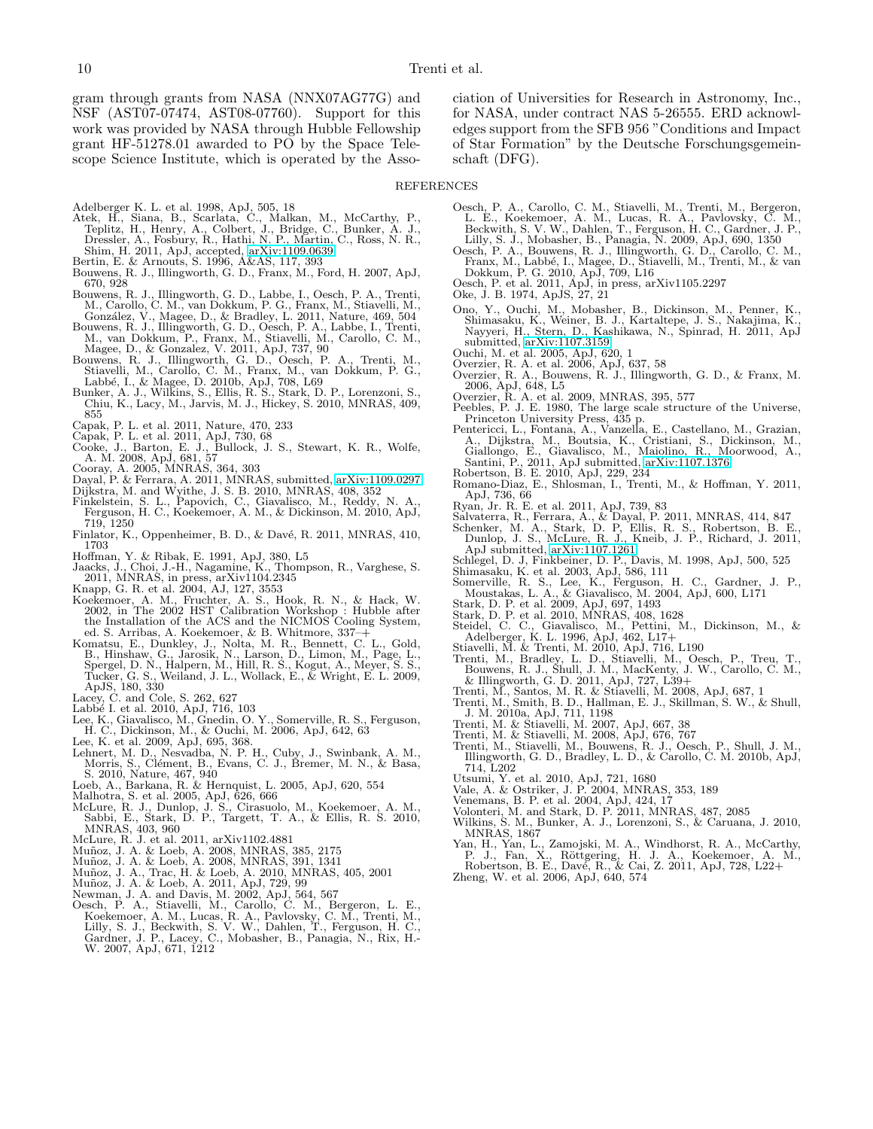gram through grants from NASA (NNX07AG77G) and NSF (AST07-07474, AST08-07760). Support for this work was provided by NASA through Hubble Fellowship grant HF-51278.01 awarded to PO by the Space Telescope Science Institute, which is operated by the Asso-

ciation of Universities for Research in Astronomy, Inc., for NASA, under contract NAS 5-26555. ERD acknowledges support from the SFB 956 "Conditions and Impact of Star Formation" by the Deutsche Forschungsgemeinschaft (DFG).

#### REFERENCES

- <span id="page-9-52"></span>
- <span id="page-9-36"></span>
- Adelberger K. L. et al. 1998, ApJ, 505, 18<br>Atek, H., Siana, B., Scarlata, C., Malkan, M., McCarthy, P., Teplitz, H., Henry, A., Colbert, J., Bridge, C., Bunker, A. J.,<br>Teplitz, H., Henry, A., Colbert, J., Bridge, C., Bunke
- <span id="page-9-32"></span><span id="page-9-30"></span>
- Shim, H. 2011, ApJ, accepted, [arXiv:1109.0639](http://arxiv.org/abs/1109.0639) Bertin, E. & Arnouts, S. 1996, A&AS, 117, 393 Bouwens, R. J., Illingworth, G. D., Franx, M., Ford, H. 2007, ApJ, 670, 928
- <span id="page-9-14"></span>Bouwens, R. J., Illingworth, G. D., Labbe, I., Oesch, P. A., Trenti, M., Carollo, C. M., van Dokkum, P. G., Franx, M., Stiavelli, M., Conzález, V., Magee, D., & Bradley, L. 2011, Nature, 469, 504<br>González, V., Magee, D., &
- <span id="page-9-1"></span>
- <span id="page-9-43"></span>M., van Dokkum, P., Franx, M., Stiavelli, M., Carollo, C. M., Magee, D., & Gonzalez, V. 2011, ApJ, 737, 90<br>Bouwens, R. J., Illingworth, G. D., Oesch, P. A., Trenti, M., Stiavelli, M., Carollo, C. M., Franti, M., Stiavelli,
- <span id="page-9-35"></span>855
- <span id="page-9-25"></span>Capak, P. L. et al. 2011, Nature, 470, 233
- 
- <span id="page-9-38"></span><span id="page-9-23"></span>Capak, P. L. et al. 2011, ApJ, 730, 68<br>Cooke, J., Barton, E. J., Bullock, J. S., Stewart, K. R., Wolfe,<br>A. M. 2008, ApJ, 681, 57<br>Cooray, A. 2005, MNRAS, 364, 303<br>Dayal, P. & Ferrara, A. 2011, MNRAS, submitted, arXiv:1109.0
- <span id="page-9-50"></span>
- <span id="page-9-64"></span>
- <span id="page-9-65"></span>
- <span id="page-9-3"></span>Dijkstra, M. and Wyithe, J. S. B. 2010, MNRAS, 408, 352 Finkelstein, S. L., Papovich, C., Giavalisco, M., Reddy, N. A., Ferguson, H. C., Koekemoer, A. M., & Dickinson, M. 2010, ApJ, 719, 1250
- <span id="page-9-16"></span>Finlator, K., Oppenheimer, B. D., & Davé, R. 2011, MNRAS, 410, 1703
- <span id="page-9-57"></span>
- <span id="page-9-17"></span>Hoffman, Y. & Ribak, E. 1991, ApJ, 380, L5 Jaacks, J., Choi, J.-H., Nagamine, K., Thompson, R., Varghese, S. 2011, MNRAS, in press, arXiv1104.2345
- <span id="page-9-29"></span>
- <span id="page-9-39"></span>Knapp, G. R. et al. 2004, AJ, 127, 3553<br>Koekemoer, A. M., Fruchter, A. S., Hook, R. N., & Hack, W.<br>2002, in The 2002 HST Calibration Workshop : Hubble after<br>the Installation of the ACS and the NICMOS Cooling System,<br>ed. S.
- <span id="page-9-27"></span>B., Hinshaw, G., Jarosik, N., Larson, D., Limon, M., Page, L., Spergel, D. N., Halpern, M., Hill, R. S., Kogut, A., Meyer, S. S., Tucker, G. S., Weiland, J. L., Wollack, E., & Wright, E. L. 2009,
- <span id="page-9-60"></span>
- <span id="page-9-63"></span>
- 
- <span id="page-9-49"></span><span id="page-9-12"></span>
- ApJS, 180, 330<br>Lacey, C. and Cole, S. 262, 627<br>Labbé I. et al. 2010, ApJ, 716, 103<br>Lee, K., Giavalisco, M., Gnedin, O. Y., Somerville, R. S., Ferguson,<br>H. C., Dickinson, M., & Ouchi, M. 2006, ApJ, 642, 63<br>Lee, K. et al. 20
- Loeb, A., Barkana, R. & Hernquist, L. 2005, ApJ, 620, 554 Malhotra, S. et al. 2005, ApJ, 626, 666 McLure, R. J., Dunlop, J. S., Cirasuolo, M., Koekemoer, A. M.,
- <span id="page-9-8"></span>
- <span id="page-9-2"></span>Sabbi, E., Stark, D. P., Targett, T. A., & Ellis, R. S. 2010, MNRAS, 403, 960 McLure, R. J. et al. 2011, arXiv1102.4881
- <span id="page-9-37"></span>
- <span id="page-9-26"></span>Muñoz, J. A. & Loeb, A. 2008, MNRAS, 385, 2175<br>Muñoz, J. A. & Loeb, A. 2008, MNRAS, 391, 1341
- <span id="page-9-54"></span>
- <span id="page-9-47"></span>Muñoz, J. A., Trac, H. & Loeb, A. 2010, MNRAS, 405, 2001
- <span id="page-9-53"></span>
- <span id="page-9-45"></span><span id="page-9-33"></span>
- Muñoz, J. A. & Loeb, A. 2011, ApJ, 729, 99<br>Newman, J. A. and Davis, M. 2002, ApJ, 564, 567<br>Oesch, P. A., Stiavelli, M., Carollo, C. M., Bergeron, L. E.,<br>Koekemoer, A. M., Lucas, R. A., Pavlovsky, C. M., Trenti, M.,<br>Lilly,
- <span id="page-9-34"></span>Oesch, P. A., Carollo, C. M., Stiavelli, M., Trenti, M., Bergeron, L. E., Koekemoer, A. M., Lucas, R. A., Pavlovsky, C. M., Beckwith, S. V. W., Dahlen, T., Ferguson, H. C., Gardner, J. P., Lilly, S. J., Mobasher, B., Panag
- <span id="page-9-0"></span>
- <span id="page-9-51"></span>Oesch, P. et al. 2011, ApJ, in press, arXiv1105.2297 Oke, J. B. 1974, ApJS, 27, 21
- <span id="page-9-28"></span>
- <span id="page-9-10"></span>Ono, Y., Ouchi, M., Mobasher, B., Dickinson, M., Penner, K., Shimasaku, K., Weiner, B. J., Kartaltepe, J. S., Nakajima, K., Nayyeri, H., Stern, D., Kashikawa, N., Spinrad, H. 2011, ApJ submitted, [arXiv:1107.3159](http://arxiv.org/abs/1107.3159)
- 
- <span id="page-9-48"></span><span id="page-9-21"></span>
- <span id="page-9-20"></span>Ouchi, M. et al. 2005, ApJ, 620, 1 Overzier, R. A. et al. 2006, ApJ, 637, 58 Overzier, R. A., Bouwens, R. J., Illingworth, G. D., & Franx, M.
- <span id="page-9-58"></span>
- <span id="page-9-44"></span><span id="page-9-11"></span>
- 2006, ApJ, 648, L5<br>
Overzier, R. A. et al. 2009, MNRAS, 395, 577<br>
Peebles, P. J. E. 1980, The large scale structure of the Universe,<br>
Princeton University Press, 435 p.<br>
Pentericci, L., Fontana, A., Vanzella, E., Castellan
- <span id="page-9-41"></span>
- <span id="page-9-55"></span>ApJ, 736, 66
- <span id="page-9-40"></span>
- <span id="page-9-13"></span>
- Ryan, Jr. R. E. et al. 2011, ApJ, 739, 83<br>Salvaterra, R., Ferrara, A., & Dayal, P. 2011, MNRAS, 414, 847<br>Schenker, M. A., Stark, D. P, Ellis, R. S., Robertson, B. E.,<br>Dunlop, J. S., McLure, R. J., Kneib, J. P., Richard, J.
- 
- <span id="page-9-18"></span>
- <span id="page-9-31"></span>Schlegel, D. J, Finkbeiner, D. P., Davis, M. 1998, ApJ, 500, 525 Shimasaku, K. et al. 2003, ApJ, 586, 111 Somerville, R. S., Lee, K., Ferguson, H. C., Gardner, J. P.,
- <span id="page-9-9"></span>
- <span id="page-9-7"></span>
- <span id="page-9-46"></span>Moustakas, L. A., & Giavalisco, M. 2004, ApJ, 600, L171<br>Stark, D. P. et al. 2009, ApJ, 697, 1493<br>Stark, D. P. et al. 2001, MNRAS, 408, 1628<br>Stark, D. P. et al. 2010, MNRAS, 408, 1628<br>Steidel, C. C., Giavalisco, M., Pettini
- <span id="page-9-6"></span>
- Trenti, M., Bradley, L. D., Stiavelli, M., Oesch, P., Treu, T., Bouwens, R. J., Shull, J. M., MacKenty, J. W., Carollo, C. M., & Illingworth, G. D. 2011, ApJ, 727, L39+<br> & Illingworth, G. D. 2011, ApJ, 727, L39+<br>Trenti, M.
- <span id="page-9-61"></span><span id="page-9-56"></span>
	-
- J. M. 2010a, ApJ, 711, 1198
- <span id="page-9-42"></span>
- <span id="page-9-15"></span>
- Trenti, M. & Stiavelli, M. 2007, ApJ, 667, 38<br>Trenti, M. & Stiavelli, M. 2008, ApJ, 676, 767<br>Trenti, M., Stiavelli, M., Bouwens, R. J., Oesch, P., Shull, J. M.,<br>Illingworth, G. D., Bradley, L. D., & Carollo, C. M. 2010b, A 714, L202
- <span id="page-9-62"></span>
- <span id="page-9-24"></span>Utsumi, Y. et al. 2010, ApJ, 721, 1680 Vale, A. & Ostriker, J. P. 2004, MNRAS, 353, 189 Venemans, B. P. et al. 2004, ApJ, 424, 17
- <span id="page-9-19"></span>
- Volonteri, M. and Stark, D. P. 2011, MNRAS, 487, 2085
- <span id="page-9-59"></span><span id="page-9-4"></span>Wilkins, S. M., Bunker, A. J., Lorenzoni, S., & Caruana, J. 2010, MNRAS, 1867
- <span id="page-9-5"></span>Yan, H., Yan, L., Zamojski, M. A., Windhorst, R. A., McCarthy,<br>P. J., Fan, X., Röttgering, H. J. A., Koekemoer, A. M.,<br>Robertson, B. E., Davé, R., & Cai, Z. 2011, ApJ, 728, L22+
- Zheng, W. et al. 2006, ApJ, 640, 574
- <span id="page-9-22"></span>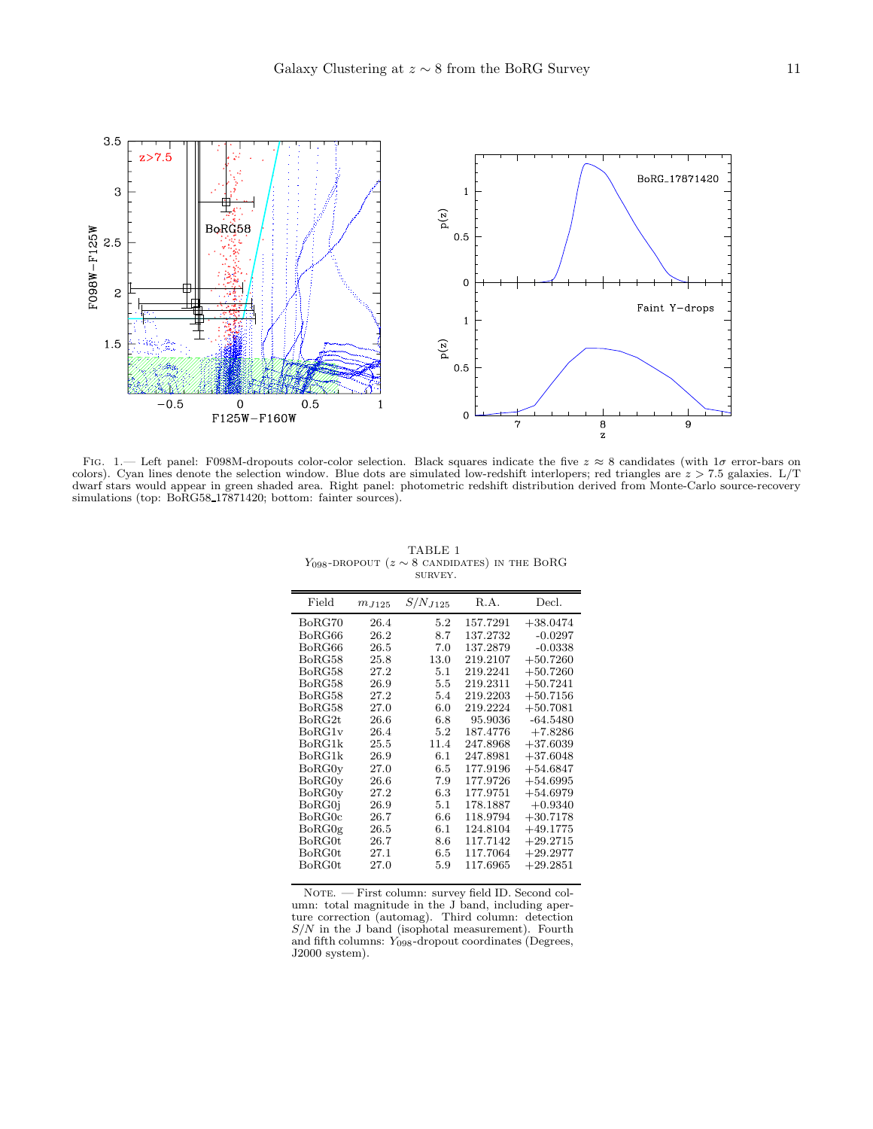

<span id="page-10-0"></span>FIG. 1.— Left panel: F098M-dropouts color-color selection. Black squares indicate the five  $z \approx 8$  candidates (with 1 $\sigma$  error-bars on colors). Cyan lines denote the selection window. Blue dots are simulated low-redshift interlopers; red triangles are  $z > 7.5$  galaxies.  $L/T$ dwarf stars would appear in green shaded area. Right panel: photometric redshift distribution derived from Monte-Carlo source-recovery simulations (top: BoRG58\_17871420; bottom: fainter sources).

<span id="page-10-1"></span>

| TABLE 1                                                 |  |
|---------------------------------------------------------|--|
| $Y_{098}$ -DROPOUT ( $z \sim 8$ CANDIDATES) IN THE BORG |  |
| SURVEY.                                                 |  |

| Field  | $m_{J125}$ | $S/N_{J125}$ | R.A.     | Decl.      |
|--------|------------|--------------|----------|------------|
| BoRG70 | 26.4       | 5.2          | 157.7291 | $+38.0474$ |
| BoRG66 | 26.2       | 8.7          | 137.2732 | $-0.0297$  |
| BoRG66 | 26.5       | 7.0          | 137.2879 | $-0.0338$  |
| BoRG58 | 25.8       | 13.0         | 219.2107 | $+50.7260$ |
| BoRG58 | 27.2       | 5.1          | 219.2241 | $+50.7260$ |
| BoRG58 | 26.9       | 5.5          | 219.2311 | $+50.7241$ |
| BoRG58 | 27.2       | 5.4          | 219.2203 | $+50.7156$ |
| BoRG58 | 27.0       | 6.0          | 219.2224 | $+50.7081$ |
| BoRG2t | 26.6       | 6.8          | 95.9036  | $-64.5480$ |
| BoRG1v | 26.4       | 5.2          | 187.4776 | $+7.8286$  |
| BoRG1k | $25.5\,$   | 11.4         | 247.8968 | $+37.6039$ |
| BoRG1k | 26.9       | 6.1          | 247.8981 | $+37.6048$ |
| BoRG0y | 27.0       | 6.5          | 177.9196 | $+54.6847$ |
| BoRG0y | 26.6       | 7.9          | 177.9726 | $+54.6995$ |
| BoRG0y | 27.2       | 6.3          | 177.9751 | $+54.6979$ |
| BoRG0i | 26.9       | 5.1          | 178.1887 | $+0.9340$  |
| BoRG0c | 26.7       | 6.6          | 118.9794 | $+30.7178$ |
| BoRG0g | $26.5\,$   | 6.1          | 124.8104 | $+49.1775$ |
| BoRG0t | 26.7       | 8.6          | 117.7142 | $+29.2715$ |
| BoRG0t | 27.1       | 6.5          | 117.7064 | $+29.2977$ |
| BoRG0t | 27.0       | 5.9          | 117.6965 | $+29.2851$ |

NOTE. — First column: survey field ID. Second column: total magnitude in the J band, including aperture correction (automag). Third column: detection  $S/N$  in the J band (isophotal measurement). Fourth and fifth columns:  $Y_{098}$ -dropout coordinates (Degrees, J2000 system).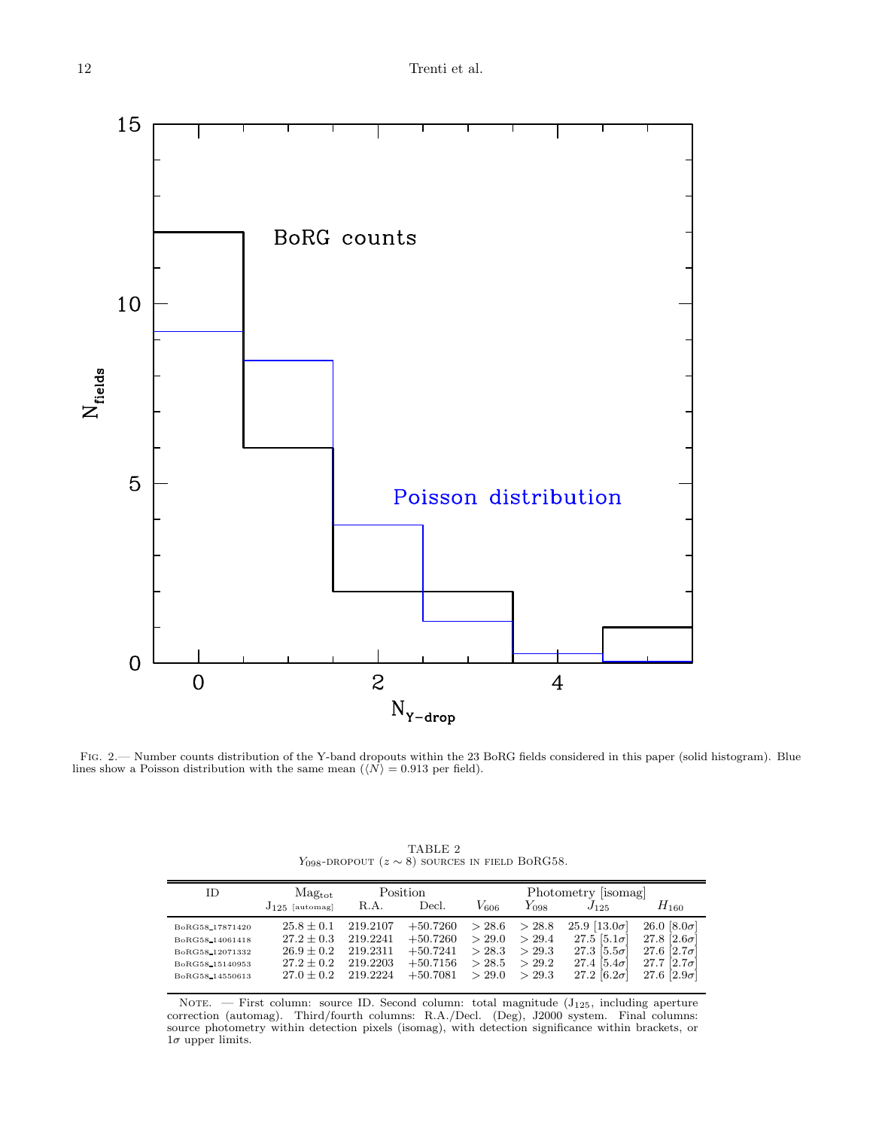

<span id="page-11-0"></span>Fig. 2.— Number counts distribution of the Y-band dropouts within the 23 BoRG fields considered in this paper (solid histogram). Blue lines show a Poisson distribution with the same mean  $(\langle N \rangle = 0.913$  per field).

<span id="page-11-1"></span>

| ID               | Mag <sub>tot</sub>  | Position |            | Photometry [isomag] |           |                       |                        |
|------------------|---------------------|----------|------------|---------------------|-----------|-----------------------|------------------------|
|                  | $J_{125}$ [automag] | R.A.     | Decl.      | $V_{606}$           | $Y_{098}$ | $J_{125}$             | $H_{\rm 160}$          |
| BoRG58 17871420  | $25.8 \pm 0.1$      | 219.2107 | $+50.7260$ | > 28.6              | > 28.8    | 25.9 [ $13.0\sigma$ ] | 26.0 $[8.0\sigma]$     |
| BoRG58 14061418  | $27.2 \pm 0.3$      | 219.2241 | $+50.7260$ | > 29.0              | > 29.4    | 27.5 $[5.1\sigma]$    | $27.8$ [2.6 $\sigma$ ] |
| BoRG58 12071332  | $26.9 \pm 0.2$      | 219.2311 | $+50.7241$ | > 28.3              | > 29.3    | 27.3 $[5.5\sigma]$    | 27.6 $[2.7\sigma]$     |
| BoRG58 15140953  | $27.2 \pm 0.2$      | 219.2203 | $+50.7156$ | > 28.5              | > 29.2    | 27.4 $[5.4\sigma]$    | 27.7<br>$ 2.7\sigma$   |
| BoRG58, 14550613 | $27.0 + 0.2$        | 219.2224 | $+50.7081$ | > 29.0              | > 29.3    | 27.2 $[6.2\sigma]$    | 27.6   $2.9\sigma$     |

TABLE 2 Y<sub>098</sub>-DROPOUT ( $z \sim 8$ ) sources in field BoRG58.

NOTE. — First column: source ID. Second column: total magnitude (J<sub>125</sub>, including aperture correction (automag). Third/fourth columns: R.A./Decl. (Deg), J2000 system. Final columns: source photometry within detection pixels (isomag), with detection significance within brackets, or  $1\sigma$  upper limits.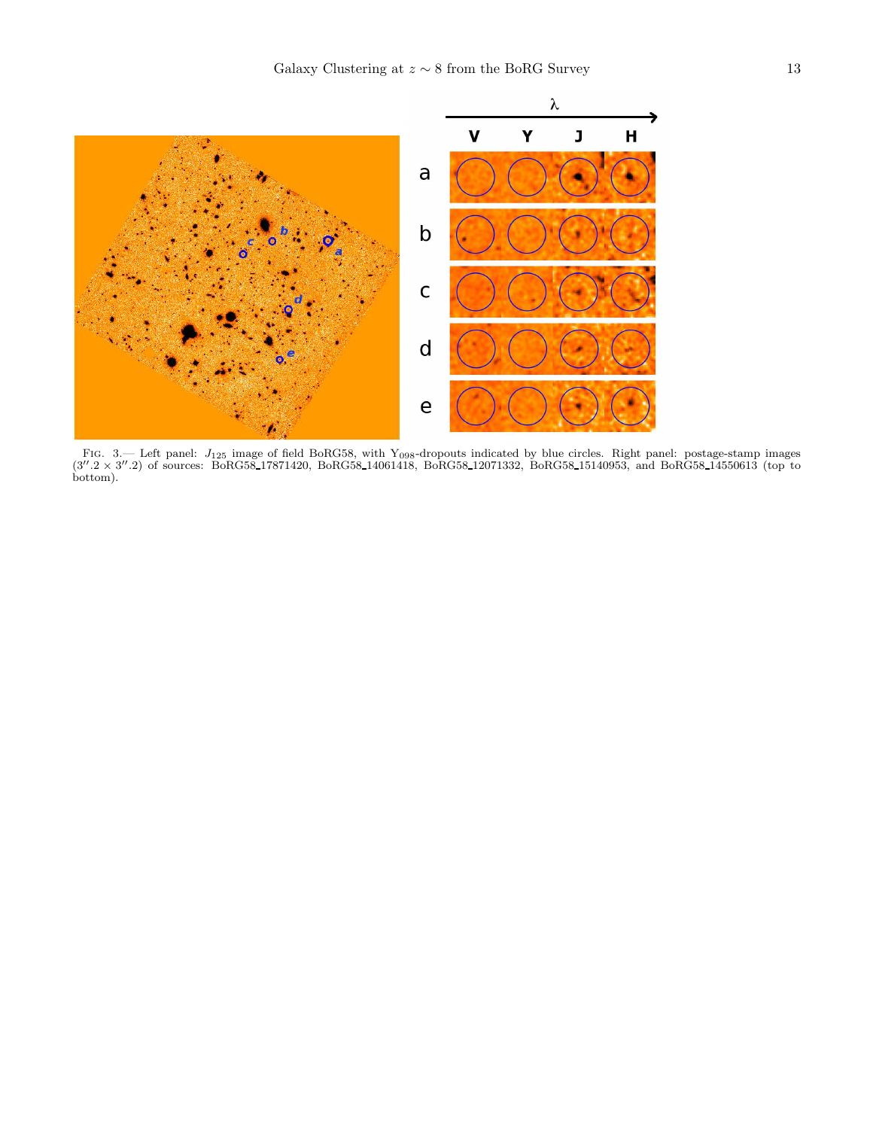![](_page_12_Figure_1.jpeg)

<span id="page-12-0"></span>FIG. 3.— Left panel:  $J_{125}$  image of field BoRG58, with Y<sub>098</sub>-dropouts indicated by blue circles. Right panel: postage-stamp images (3".2 × 3".2) of sources: BoRG58\_17871420, BoRG58\_14061418, BoRG58\_12071332, BoRG58\_15 bottom).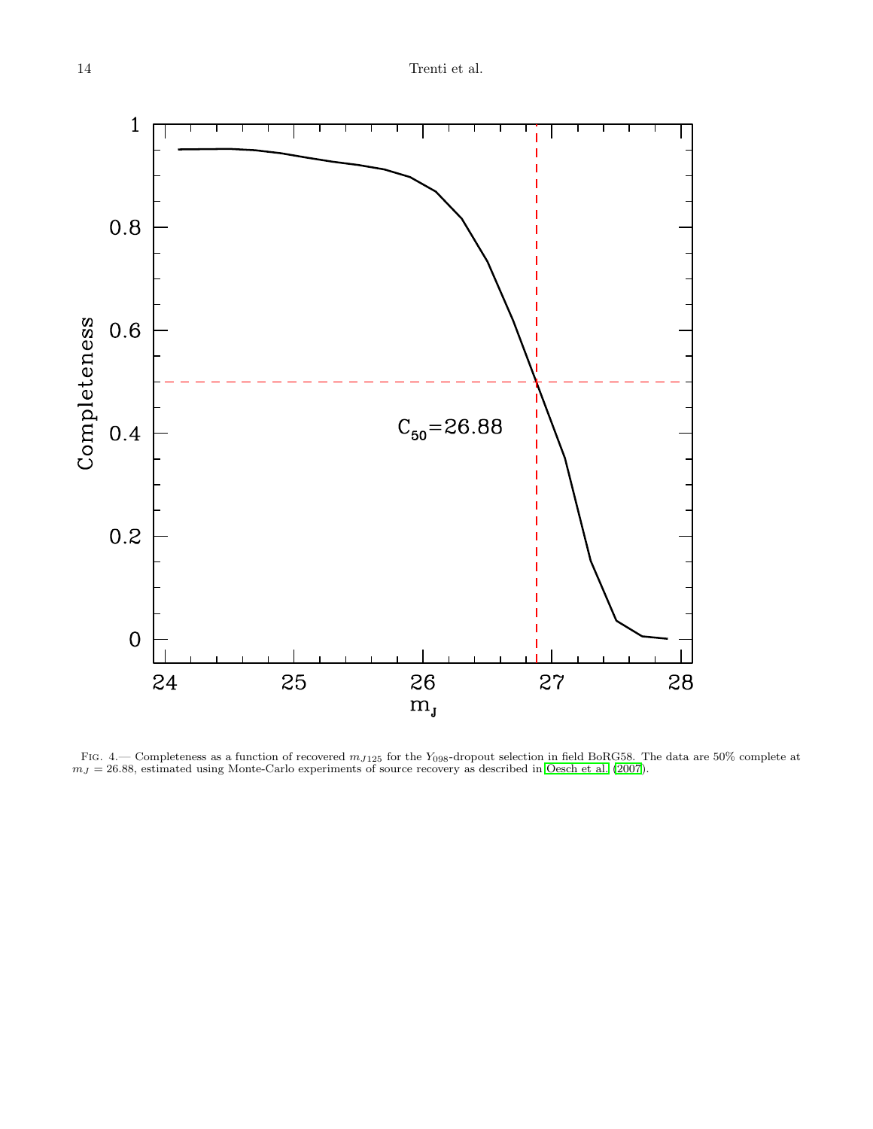![](_page_13_Figure_1.jpeg)

<span id="page-13-0"></span>Fig. 4.— Completeness as a function of recovered  $m_{J125}$  for the Y<sub>098</sub>-dropout selection in field BoRG58. The data are 50% complete at  $m<sub>J</sub> = 26.88$ , estimated using Monte-Carlo experiments of source recovery as described in [Oesch et al. \(2007\)](#page-9-33).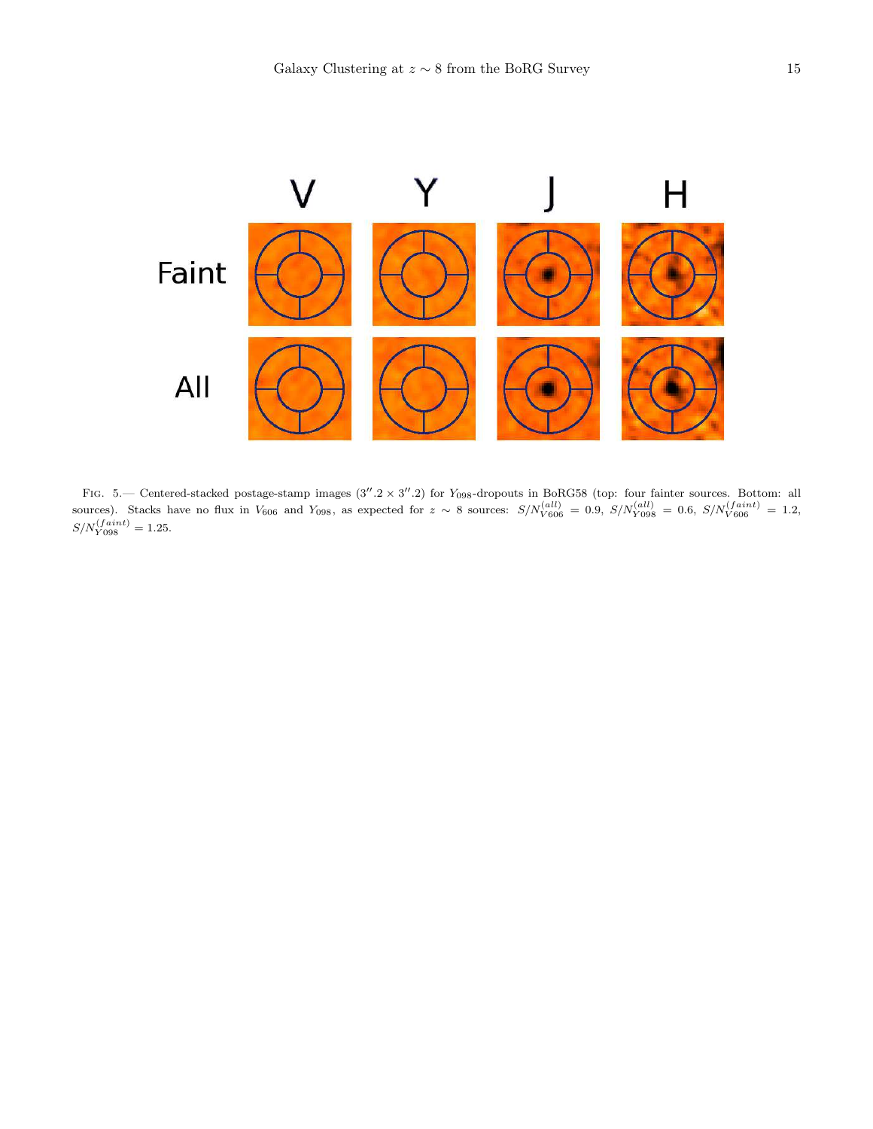![](_page_14_Figure_1.jpeg)

<span id="page-14-0"></span>FIG. 5.— Centered-stacked postage-stamp images  $(3''.2 \times 3''.2)$  for Y<sub>098</sub>-dropouts in BoRG58 (top: four fainter sources. Bottom: all sources). Stacks have no flux in  $V_{606}$  and  $Y_{098}$ , as expected for  $z \sim 8$  sources:  $S/N_{V606}^{(all)} = 0.9$ ,  $S/N_{Y098}^{(all)} = 0.6$ ,  $S/N_{V606}^{(faint)} = 1.2$ ,  $S/N_{Y098}^{(faint)} = 1.25.$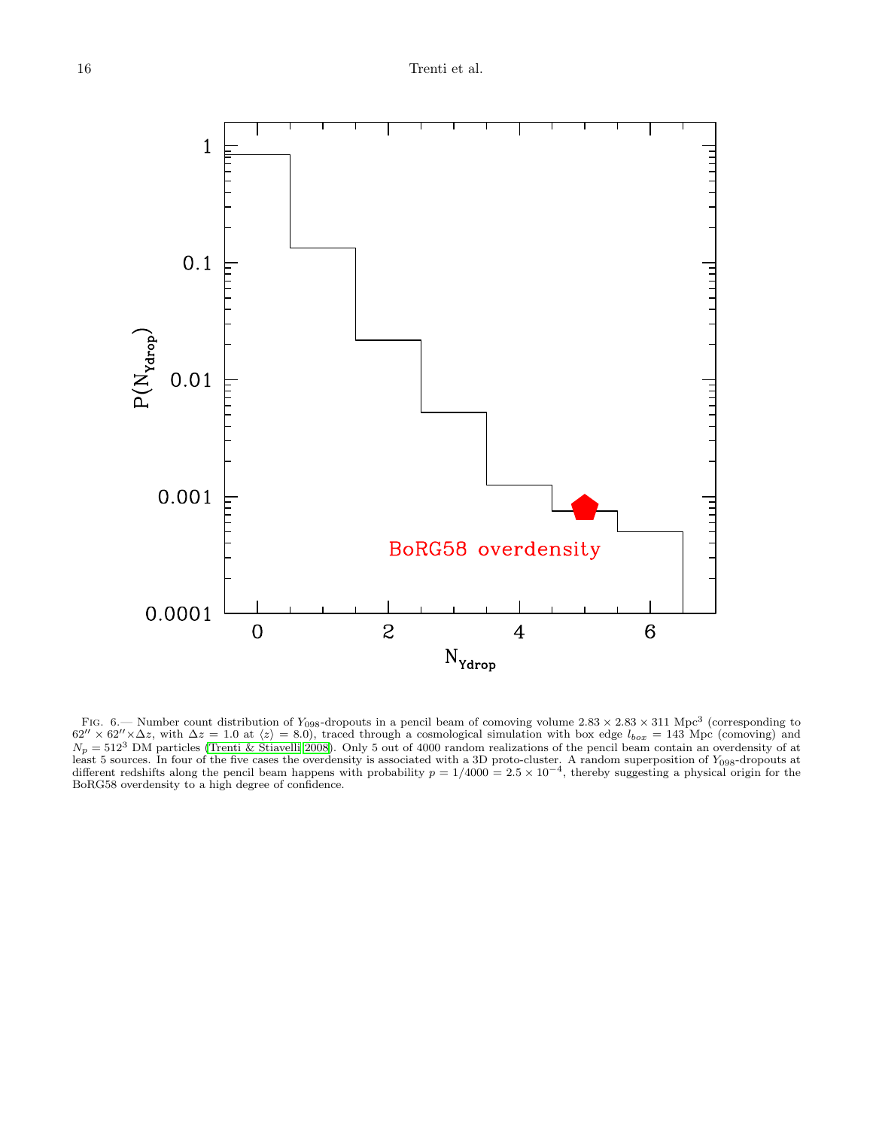![](_page_15_Figure_1.jpeg)

<span id="page-15-0"></span>FIG. 6.— Number count distribution of  $Y_{098}$ -dropouts in a pencil beam of comoving volume 2.83 × 2.83 × 311 Mpc<sup>3</sup> (corresponding to 62" × 62" ×  $\Delta z$ , with  $\Delta z = 1.0$  at  $\langle z \rangle = 8.0$ ), traced through a cosmological sim  $N_p = 512<sup>3</sup>$  DM particles [\(Trenti & Stiavelli 2008\)](#page-9-42). Only 5 out of 4000 random realizations of the pencil beam contain an overdensity of at least 5 sources. In four of the five cases the overdensity is associated with a 3D proto-cluster. A random superposition of  $Y_{098}$ -dropouts at different redshifts along the pencil beam happens with probability  $p = 1/400$ BoRG58 overdensity to a high degree of confidence.